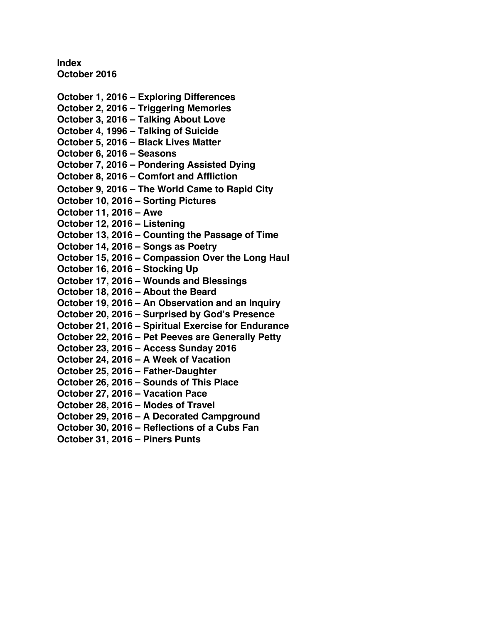**Index October 2016** 

**[October 1, 2016 – Exploring Differences](#page-1-0)  [October 2, 2016 – Triggering Memories](#page-3-0)  [October 3, 2016 – Talking About Love](#page-5-0)  [October 4, 1996 – Talking of Suicide](#page-7-0)  [October 5, 2016 – Black Lives Matter](#page-9-0)  [October 6, 2016 – Seasons](#page-11-0)  [October 7, 2016 – Pondering Assisted Dying](#page-13-0)  [October 8, 2016 – Comfort and Affliction](#page-15-0)  October 9, 2016 [– The World Came to Rapid City](#page-17-0)  [October 10, 2016 – Sorting Pictures](#page-20-0)  [October 11, 2016 – Awe](#page-23-0)  [October 12, 2016 – Listening](#page-25-0)  [October 13, 2016 – Counting the Passage of Time](#page-28-0)  [October 14, 2016 – Songs as Poetry](#page-30-0)  [October 15, 2016 – Compassion Over the Long Haul](#page-32-0)  [October 16, 2016 – Stocking Up](#page-34-0)  [October 17, 2016 – Wounds and Blessings](#page-36-0)  [October 18, 2016 – About the Beard](#page-37-0)  [October 19, 2016 – An Observation and an Inquiry](#page-39-0)  [October 20, 2016 – Surprised by God's Presence](#page-42-0)  [October 21, 2016 – Spiritual Exercise for Endurance](#page-44-0)  [October 22, 2016 – Pet Peeves are Generally Petty](#page-46-0)  [October 23, 2016 – Access Sunday 2016](#page-48-0)  October 24, 2016 [– A Week of Vacation](#page-50-0)  [October 25, 2016 – Father-Daughter](#page-52-0)  [October 26, 2016 – Sounds of This Place](#page-54-0)  [October 27, 2016 – Vacation Pace](#page-56-0)  [October 28, 2016 – Modes of Travel](#page-58-0)  [October 29, 2016 – A Decorated Campground](#page-60-0)  [October 30, 2016 – Reflections of a Cubs Fan](#page-62-0)  [October 31, 2016 – Piners Punts](#page-64-0)**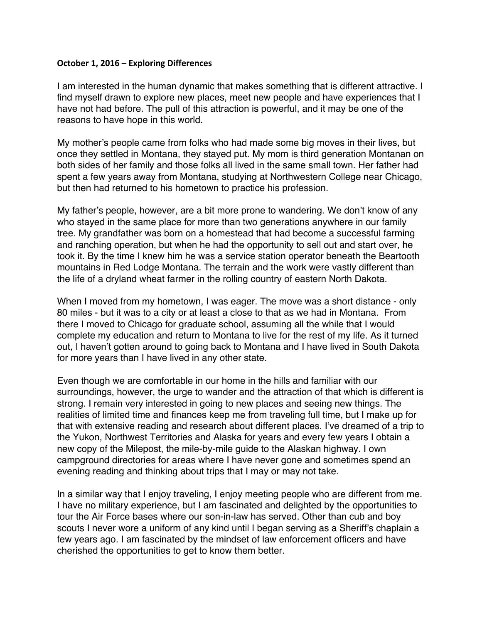#### <span id="page-1-0"></span>**October 1, 2016 – Exploring Differences**

I am interested in the human dynamic that makes something that is different attractive. I find myself drawn to explore new places, meet new people and have experiences that I have not had before. The pull of this attraction is powerful, and it may be one of the reasons to have hope in this world.

My mother's people came from folks who had made some big moves in their lives, but once they settled in Montana, they stayed put. My mom is third generation Montanan on both sides of her family and those folks all lived in the same small town. Her father had spent a few years away from Montana, studying at Northwestern College near Chicago, but then had returned to his hometown to practice his profession.

My father's people, however, are a bit more prone to wandering. We don't know of any who stayed in the same place for more than two generations anywhere in our family tree. My grandfather was born on a homestead that had become a successful farming and ranching operation, but when he had the opportunity to sell out and start over, he took it. By the time I knew him he was a service station operator beneath the Beartooth mountains in Red Lodge Montana. The terrain and the work were vastly different than the life of a dryland wheat farmer in the rolling country of eastern North Dakota.

When I moved from my hometown, I was eager. The move was a short distance - only 80 miles - but it was to a city or at least a close to that as we had in Montana. From there I moved to Chicago for graduate school, assuming all the while that I would complete my education and return to Montana to live for the rest of my life. As it turned out, I haven't gotten around to going back to Montana and I have lived in South Dakota for more years than I have lived in any other state.

Even though we are comfortable in our home in the hills and familiar with our surroundings, however, the urge to wander and the attraction of that which is different is strong. I remain very interested in going to new places and seeing new things. The realities of limited time and finances keep me from traveling full time, but I make up for that with extensive reading and research about different places. I've dreamed of a trip to the Yukon, Northwest Territories and Alaska for years and every few years I obtain a new copy of the Milepost, the mile-by-mile guide to the Alaskan highway. I own campground directories for areas where I have never gone and sometimes spend an evening reading and thinking about trips that I may or may not take.

In a similar way that I enjoy traveling, I enjoy meeting people who are different from me. I have no military experience, but I am fascinated and delighted by the opportunities to tour the Air Force bases where our son-in-law has served. Other than cub and boy scouts I never wore a uniform of any kind until I began serving as a Sheriff's chaplain a few years ago. I am fascinated by the mindset of law enforcement officers and have cherished the opportunities to get to know them better.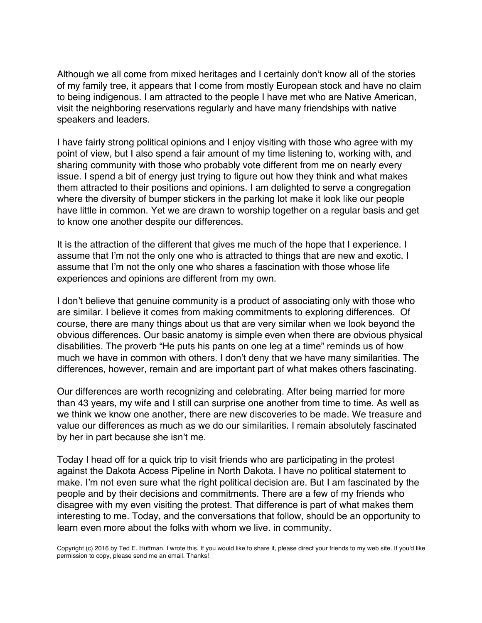Although we all come from mixed heritages and I certainly don't know all of the stories of my family tree, it appears that I come from mostly European stock and have no claim to being indigenous. I am attracted to the people I have met who are Native American, visit the neighboring reservations regularly and have many friendships with native speakers and leaders.

I have fairly strong political opinions and I enjoy visiting with those who agree with my point of view, but I also spend a fair amount of my time listening to, working with, and sharing community with those who probably vote different from me on nearly every issue. I spend a bit of energy just trying to figure out how they think and what makes them attracted to their positions and opinions. I am delighted to serve a congregation where the diversity of bumper stickers in the parking lot make it look like our people have little in common. Yet we are drawn to worship together on a regular basis and get to know one another despite our differences.

It is the attraction of the different that gives me much of the hope that I experience. I assume that I'm not the only one who is attracted to things that are new and exotic. I assume that I'm not the only one who shares a fascination with those whose life experiences and opinions are different from my own.

I don't believe that genuine community is a product of associating only with those who are similar. I believe it comes from making commitments to exploring differences. Of course, there are many things about us that are very similar when we look beyond the obvious differences. Our basic anatomy is simple even when there are obvious physical disabilities. The proverb "He puts his pants on one leg at a time" reminds us of how much we have in common with others. I don't deny that we have many similarities. The differences, however, remain and are important part of what makes others fascinating.

Our differences are worth recognizing and celebrating. After being married for more than 43 years, my wife and I still can surprise one another from time to time. As well as we think we know one another, there are new discoveries to be made. We treasure and value our differences as much as we do our similarities. I remain absolutely fascinated by her in part because she isn't me.

Today I head off for a quick trip to visit friends who are participating in the protest against the Dakota Access Pipeline in North Dakota. I have no political statement to make. I'm not even sure what the right political decision are. But I am fascinated by the people and by their decisions and commitments. There are a few of my friends who disagree with my even visiting the protest. That difference is part of what makes them interesting to me. Today, and the conversations that follow, should be an opportunity to learn even more about the folks with whom we live. in community.

Copyright (c) 2016 by Ted E. Huffman. I wrote this. If you would like to share it, please direct your friends to my web site. If you'd like permission to copy, please send me an email. Thanks!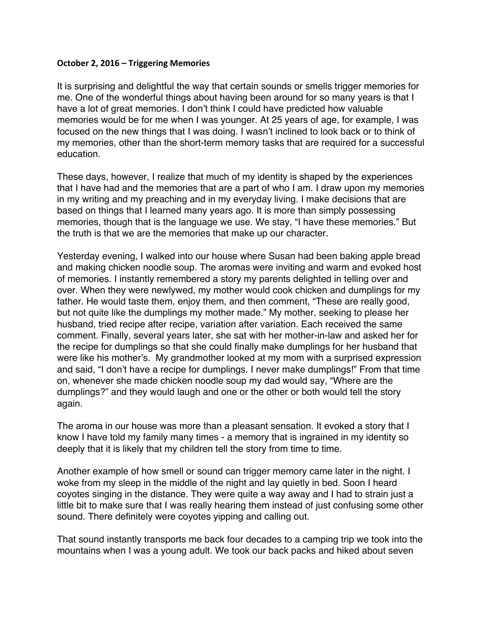#### <span id="page-3-0"></span>**October 2, 2016 – Triggering Memories**

It is surprising and delightful the way that certain sounds or smells trigger memories for me. One of the wonderful things about having been around for so many years is that I have a lot of great memories. I don't think I could have predicted how valuable memories would be for me when I was younger. At 25 years of age, for example, I was focused on the new things that I was doing. I wasn't inclined to look back or to think of my memories, other than the short-term memory tasks that are required for a successful education.

These days, however, I realize that much of my identity is shaped by the experiences that I have had and the memories that are a part of who I am. I draw upon my memories in my writing and my preaching and in my everyday living. I make decisions that are based on things that I learned many years ago. It is more than simply possessing memories, though that is the language we use. We stay, "I have these memories." But the truth is that we are the memories that make up our character.

Yesterday evening, I walked into our house where Susan had been baking apple bread and making chicken noodle soup. The aromas were inviting and warm and evoked host of memories. I instantly remembered a story my parents delighted in telling over and over. When they were newlywed, my mother would cook chicken and dumplings for my father. He would taste them, enjoy them, and then comment, "These are really good, but not quite like the dumplings my mother made." My mother, seeking to please her husband, tried recipe after recipe, variation after variation. Each received the same comment. Finally, several years later, she sat with her mother-in-law and asked her for the recipe for dumplings so that she could finally make dumplings for her husband that were like his mother's. My grandmother looked at my mom with a surprised expression and said, "I don't have a recipe for dumplings. I never make dumplings!" From that time on, whenever she made chicken noodle soup my dad would say, "Where are the dumplings?" and they would laugh and one or the other or both would tell the story again.

The aroma in our house was more than a pleasant sensation. It evoked a story that I know I have told my family many times - a memory that is ingrained in my identity so deeply that it is likely that my children tell the story from time to time.

Another example of how smell or sound can trigger memory came later in the night. I woke from my sleep in the middle of the night and lay quietly in bed. Soon I heard coyotes singing in the distance. They were quite a way away and I had to strain just a little bit to make sure that I was really hearing them instead of just confusing some other sound. There definitely were coyotes yipping and calling out.

That sound instantly transports me back four decades to a camping trip we took into the mountains when I was a young adult. We took our back packs and hiked about seven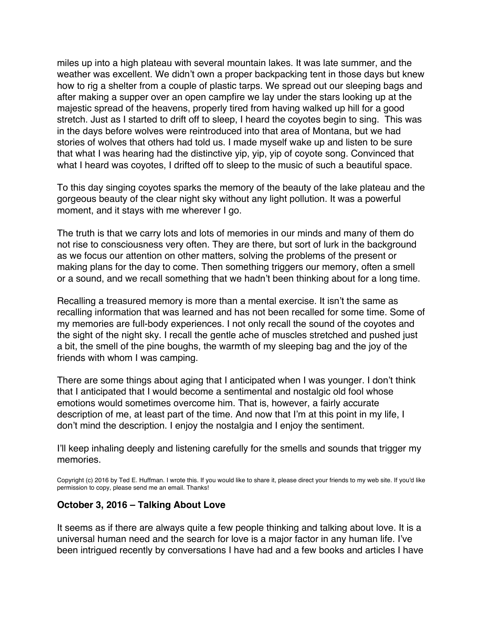miles up into a high plateau with several mountain lakes. It was late summer, and the weather was excellent. We didn't own a proper backpacking tent in those days but knew how to rig a shelter from a couple of plastic tarps. We spread out our sleeping bags and after making a supper over an open campfire we lay under the stars looking up at the majestic spread of the heavens, properly tired from having walked up hill for a good stretch. Just as I started to drift off to sleep, I heard the coyotes begin to sing. This was in the days before wolves were reintroduced into that area of Montana, but we had stories of wolves that others had told us. I made myself wake up and listen to be sure that what I was hearing had the distinctive yip, yip, yip of coyote song. Convinced that what I heard was coyotes, I drifted off to sleep to the music of such a beautiful space.

To this day singing coyotes sparks the memory of the beauty of the lake plateau and the gorgeous beauty of the clear night sky without any light pollution. It was a powerful moment, and it stays with me wherever I go.

The truth is that we carry lots and lots of memories in our minds and many of them do not rise to consciousness very often. They are there, but sort of lurk in the background as we focus our attention on other matters, solving the problems of the present or making plans for the day to come. Then something triggers our memory, often a smell or a sound, and we recall something that we hadn't been thinking about for a long time.

Recalling a treasured memory is more than a mental exercise. It isn't the same as recalling information that was learned and has not been recalled for some time. Some of my memories are full-body experiences. I not only recall the sound of the coyotes and the sight of the night sky. I recall the gentle ache of muscles stretched and pushed just a bit, the smell of the pine boughs, the warmth of my sleeping bag and the joy of the friends with whom I was camping.

There are some things about aging that I anticipated when I was younger. I don't think that I anticipated that I would become a sentimental and nostalgic old fool whose emotions would sometimes overcome him. That is, however, a fairly accurate description of me, at least part of the time. And now that I'm at this point in my life, I don't mind the description. I enjoy the nostalgia and I enjoy the sentiment.

I'll keep inhaling deeply and listening carefully for the smells and sounds that trigger my memories.

Copyright (c) 2016 by Ted E. Huffman. I wrote this. If you would like to share it, please direct your friends to my web site. If you'd like permission to copy, please send me an email. Thanks!

## **October 3, 2016 – Talking About Love**

It seems as if there are always quite a few people thinking and talking about love. It is a universal human need and the search for love is a major factor in any human life. I've been intrigued recently by conversations I have had and a few books and articles I have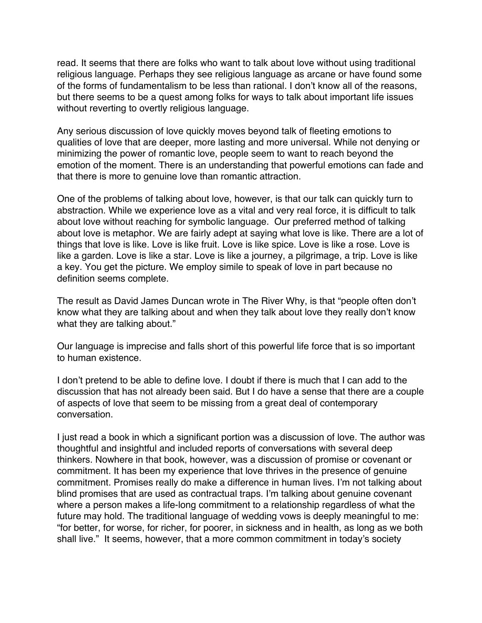<span id="page-5-0"></span>read. It seems that there are folks who want to talk about love without using traditional religious language. Perhaps they see religious language as arcane or have found some of the forms of fundamentalism to be less than rational. I don't know all of the reasons, but there seems to be a quest among folks for ways to talk about important life issues without reverting to overtly religious language.

Any serious discussion of love quickly moves beyond talk of fleeting emotions to qualities of love that are deeper, more lasting and more universal. While not denying or minimizing the power of romantic love, people seem to want to reach beyond the emotion of the moment. There is an understanding that powerful emotions can fade and that there is more to genuine love than romantic attraction.

One of the problems of talking about love, however, is that our talk can quickly turn to abstraction. While we experience love as a vital and very real force, it is difficult to talk about love without reaching for symbolic language. Our preferred method of talking about love is metaphor. We are fairly adept at saying what love is like. There are a lot of things that love is like. Love is like fruit. Love is like spice. Love is like a rose. Love is like a garden. Love is like a star. Love is like a journey, a pilgrimage, a trip. Love is like a key. You get the picture. We employ simile to speak of love in part because no definition seems complete.

The result as David James Duncan wrote in The River Why, is that "people often don't know what they are talking about and when they talk about love they really don't know what they are talking about."

Our language is imprecise and falls short of this powerful life force that is so important to human existence.

I don't pretend to be able to define love. I doubt if there is much that I can add to the discussion that has not already been said. But I do have a sense that there are a couple of aspects of love that seem to be missing from a great deal of contemporary conversation.

I just read a book in which a significant portion was a discussion of love. The author was thoughtful and insightful and included reports of conversations with several deep thinkers. Nowhere in that book, however, was a discussion of promise or covenant or commitment. It has been my experience that love thrives in the presence of genuine commitment. Promises really do make a difference in human lives. I'm not talking about blind promises that are used as contractual traps. I'm talking about genuine covenant where a person makes a life-long commitment to a relationship regardless of what the future may hold. The traditional language of wedding vows is deeply meaningful to me: "for better, for worse, for richer, for poorer, in sickness and in health, as long as we both shall live." It seems, however, that a more common commitment in today's society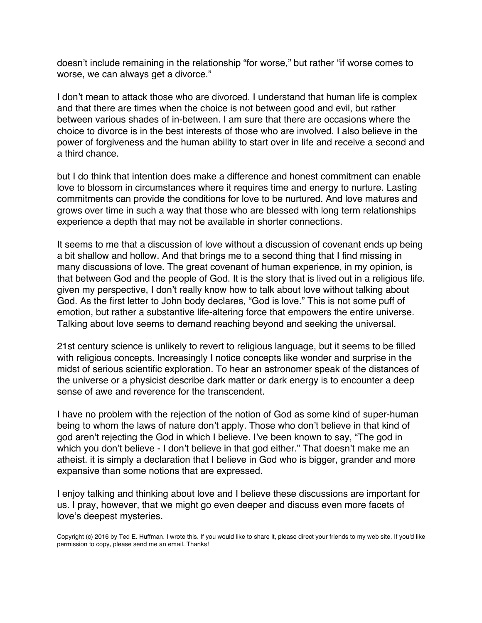doesn't include remaining in the relationship "for worse," but rather "if worse comes to worse, we can always get a divorce."

I don't mean to attack those who are divorced. I understand that human life is complex and that there are times when the choice is not between good and evil, but rather between various shades of in-between. I am sure that there are occasions where the choice to divorce is in the best interests of those who are involved. I also believe in the power of forgiveness and the human ability to start over in life and receive a second and a third chance.

but I do think that intention does make a difference and honest commitment can enable love to blossom in circumstances where it requires time and energy to nurture. Lasting commitments can provide the conditions for love to be nurtured. And love matures and grows over time in such a way that those who are blessed with long term relationships experience a depth that may not be available in shorter connections.

It seems to me that a discussion of love without a discussion of covenant ends up being a bit shallow and hollow. And that brings me to a second thing that I find missing in many discussions of love. The great covenant of human experience, in my opinion, is that between God and the people of God. It is the story that is lived out in a religious life. given my perspective, I don't really know how to talk about love without talking about God. As the first letter to John body declares, "God is love." This is not some puff of emotion, but rather a substantive life-altering force that empowers the entire universe. Talking about love seems to demand reaching beyond and seeking the universal.

21st century science is unlikely to revert to religious language, but it seems to be filled with religious concepts. Increasingly I notice concepts like wonder and surprise in the midst of serious scientific exploration. To hear an astronomer speak of the distances of the universe or a physicist describe dark matter or dark energy is to encounter a deep sense of awe and reverence for the transcendent.

I have no problem with the rejection of the notion of God as some kind of super-human being to whom the laws of nature don't apply. Those who don't believe in that kind of god aren't rejecting the God in which I believe. I've been known to say, "The god in which you don't believe - I don't believe in that god either." That doesn't make me an atheist. it is simply a declaration that I believe in God who is bigger, grander and more expansive than some notions that are expressed.

I enjoy talking and thinking about love and I believe these discussions are important for us. I pray, however, that we might go even deeper and discuss even more facets of love's deepest mysteries.

Copyright (c) 2016 by Ted E. Huffman. I wrote this. If you would like to share it, please direct your friends to my web site. If you'd like permission to copy, please send me an email. Thanks!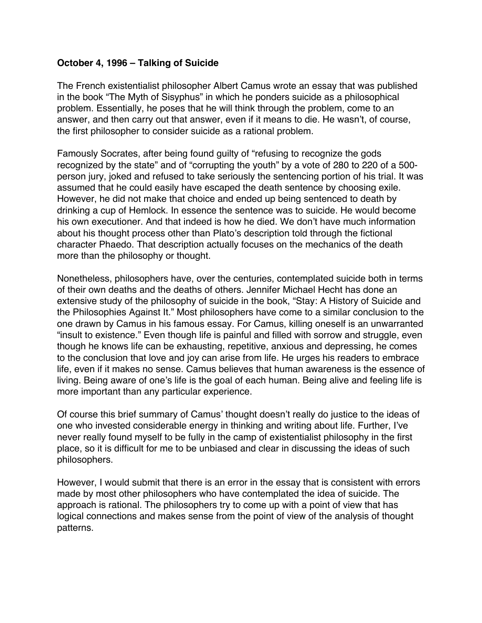# <span id="page-7-0"></span>**October 4, 1996 – Talking of Suicide**

The French existentialist philosopher Albert Camus wrote an essay that was published in the book "The Myth of Sisyphus" in which he ponders suicide as a philosophical problem. Essentially, he poses that he will think through the problem, come to an answer, and then carry out that answer, even if it means to die. He wasn't, of course, the first philosopher to consider suicide as a rational problem.

Famously Socrates, after being found guilty of "refusing to recognize the gods recognized by the state" and of "corrupting the youth" by a vote of 280 to 220 of a 500 person jury, joked and refused to take seriously the sentencing portion of his trial. It was assumed that he could easily have escaped the death sentence by choosing exile. However, he did not make that choice and ended up being sentenced to death by drinking a cup of Hemlock. In essence the sentence was to suicide. He would become his own executioner. And that indeed is how he died. We don't have much information about his thought process other than Plato's description told through the fictional character Phaedo. That description actually focuses on the mechanics of the death more than the philosophy or thought.

Nonetheless, philosophers have, over the centuries, contemplated suicide both in terms of their own deaths and the deaths of others. Jennifer Michael Hecht has done an extensive study of the philosophy of suicide in the book, "Stay: A History of Suicide and the Philosophies Against It." Most philosophers have come to a similar conclusion to the one drawn by Camus in his famous essay. For Camus, killing oneself is an unwarranted "insult to existence." Even though life is painful and filled with sorrow and struggle, even though he knows life can be exhausting, repetitive, anxious and depressing, he comes to the conclusion that love and joy can arise from life. He urges his readers to embrace life, even if it makes no sense. Camus believes that human awareness is the essence of living. Being aware of one's life is the goal of each human. Being alive and feeling life is more important than any particular experience.

Of course this brief summary of Camus' thought doesn't really do justice to the ideas of one who invested considerable energy in thinking and writing about life. Further, I've never really found myself to be fully in the camp of existentialist philosophy in the first place, so it is difficult for me to be unbiased and clear in discussing the ideas of such philosophers.

However, I would submit that there is an error in the essay that is consistent with errors made by most other philosophers who have contemplated the idea of suicide. The approach is rational. The philosophers try to come up with a point of view that has logical connections and makes sense from the point of view of the analysis of thought patterns.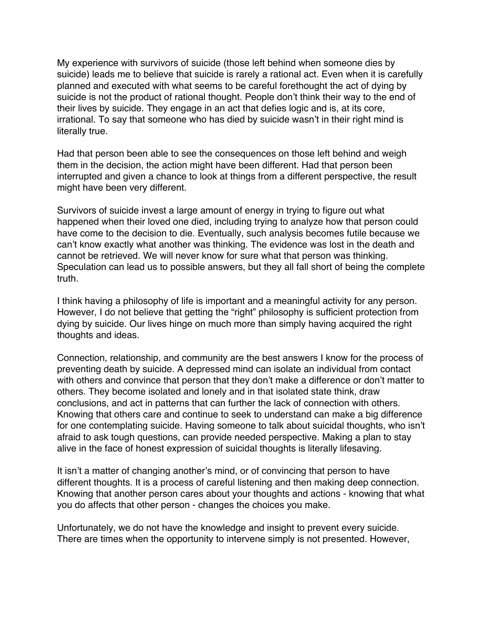My experience with survivors of suicide (those left behind when someone dies by suicide) leads me to believe that suicide is rarely a rational act. Even when it is carefully planned and executed with what seems to be careful forethought the act of dying by suicide is not the product of rational thought. People don't think their way to the end of their lives by suicide. They engage in an act that defies logic and is, at its core, irrational. To say that someone who has died by suicide wasn't in their right mind is literally true.

Had that person been able to see the consequences on those left behind and weigh them in the decision, the action might have been different. Had that person been interrupted and given a chance to look at things from a different perspective, the result might have been very different.

Survivors of suicide invest a large amount of energy in trying to figure out what happened when their loved one died, including trying to analyze how that person could have come to the decision to die. Eventually, such analysis becomes futile because we can't know exactly what another was thinking. The evidence was lost in the death and cannot be retrieved. We will never know for sure what that person was thinking. Speculation can lead us to possible answers, but they all fall short of being the complete truth.

I think having a philosophy of life is important and a meaningful activity for any person. However, I do not believe that getting the "right" philosophy is sufficient protection from dying by suicide. Our lives hinge on much more than simply having acquired the right thoughts and ideas.

Connection, relationship, and community are the best answers I know for the process of preventing death by suicide. A depressed mind can isolate an individual from contact with others and convince that person that they don't make a difference or don't matter to others. They become isolated and lonely and in that isolated state think, draw conclusions, and act in patterns that can further the lack of connection with others. Knowing that others care and continue to seek to understand can make a big difference for one contemplating suicide. Having someone to talk about suicidal thoughts, who isn't afraid to ask tough questions, can provide needed perspective. Making a plan to stay alive in the face of honest expression of suicidal thoughts is literally lifesaving.

It isn't a matter of changing another's mind, or of convincing that person to have different thoughts. It is a process of careful listening and then making deep connection. Knowing that another person cares about your thoughts and actions - knowing that what you do affects that other person - changes the choices you make.

Unfortunately, we do not have the knowledge and insight to prevent every suicide. There are times when the opportunity to intervene simply is not presented. However,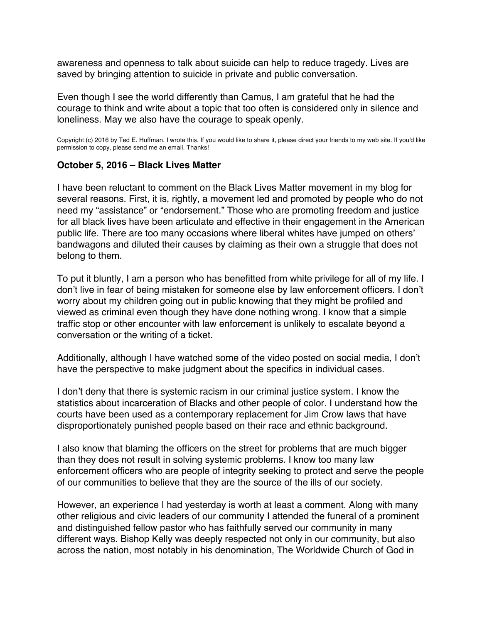<span id="page-9-0"></span>awareness and openness to talk about suicide can help to reduce tragedy. Lives are saved by bringing attention to suicide in private and public conversation.

Even though I see the world differently than Camus, I am grateful that he had the courage to think and write about a topic that too often is considered only in silence and loneliness. May we also have the courage to speak openly.

Copyright (c) 2016 by Ted E. Huffman. I wrote this. If you would like to share it, please direct your friends to my web site. If you'd like permission to copy, please send me an email. Thanks!

# **October 5, 2016 – Black Lives Matter**

I have been reluctant to comment on the Black Lives Matter movement in my blog for several reasons. First, it is, rightly, a movement led and promoted by people who do not need my "assistance" or "endorsement." Those who are promoting freedom and justice for all black lives have been articulate and effective in their engagement in the American public life. There are too many occasions where liberal whites have jumped on others' bandwagons and diluted their causes by claiming as their own a struggle that does not belong to them.

To put it bluntly, I am a person who has benefitted from white privilege for all of my life. I don't live in fear of being mistaken for someone else by law enforcement officers. I don't worry about my children going out in public knowing that they might be profiled and viewed as criminal even though they have done nothing wrong. I know that a simple traffic stop or other encounter with law enforcement is unlikely to escalate beyond a conversation or the writing of a ticket.

Additionally, although I have watched some of the video posted on social media, I don't have the perspective to make judgment about the specifics in individual cases.

I don't deny that there is systemic racism in our criminal justice system. I know the statistics about incarceration of Blacks and other people of color. I understand how the courts have been used as a contemporary replacement for Jim Crow laws that have disproportionately punished people based on their race and ethnic background.

I also know that blaming the officers on the street for problems that are much bigger than they does not result in solving systemic problems. I know too many law enforcement officers who are people of integrity seeking to protect and serve the people of our communities to believe that they are the source of the ills of our society.

However, an experience I had yesterday is worth at least a comment. Along with many other religious and civic leaders of our community I attended the funeral of a prominent and distinguished fellow pastor who has faithfully served our community in many different ways. Bishop Kelly was deeply respected not only in our community, but also across the nation, most notably in his denomination, The Worldwide Church of God in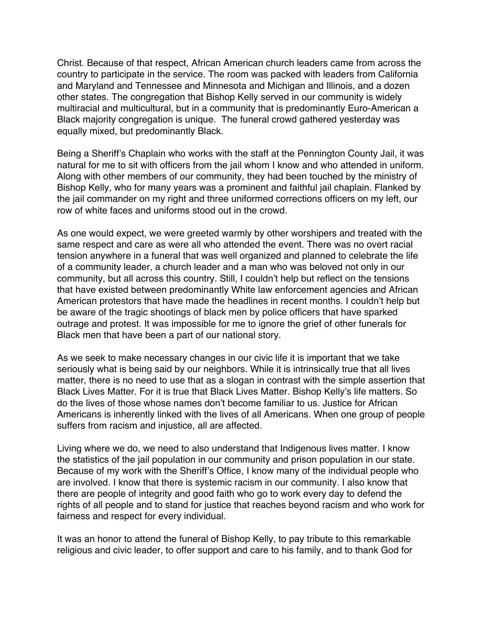Christ. Because of that respect, African American church leaders came from across the country to participate in the service. The room was packed with leaders from California and Maryland and Tennessee and Minnesota and Michigan and Illinois, and a dozen other states. The congregation that Bishop Kelly served in our community is widely multiracial and multicultural, but in a community that is predominantly Euro-American a Black majority congregation is unique. The funeral crowd gathered yesterday was equally mixed, but predominantly Black.

Being a Sheriff's Chaplain who works with the staff at the Pennington County Jail, it was natural for me to sit with officers from the jail whom I know and who attended in uniform. Along with other members of our community, they had been touched by the ministry of Bishop Kelly, who for many years was a prominent and faithful jail chaplain. Flanked by the jail commander on my right and three uniformed corrections officers on my left, our row of white faces and uniforms stood out in the crowd.

As one would expect, we were greeted warmly by other worshipers and treated with the same respect and care as were all who attended the event. There was no overt racial tension anywhere in a funeral that was well organized and planned to celebrate the life of a community leader, a church leader and a man who was beloved not only in our community, but all across this country. Still, I couldn't help but reflect on the tensions that have existed between predominantly White law enforcement agencies and African American protestors that have made the headlines in recent months. I couldn't help but be aware of the tragic shootings of black men by police officers that have sparked outrage and protest. It was impossible for me to ignore the grief of other funerals for Black men that have been a part of our national story.

As we seek to make necessary changes in our civic life it is important that we take seriously what is being said by our neighbors. While it is intrinsically true that all lives matter, there is no need to use that as a slogan in contrast with the simple assertion that Black Lives Matter. For it is true that Black Lives Matter. Bishop Kelly's life matters. So do the lives of those whose names don't become familiar to us. Justice for African Americans is inherently linked with the lives of all Americans. When one group of people suffers from racism and injustice, all are affected.

Living where we do, we need to also understand that Indigenous lives matter. I know the statistics of the jail population in our community and prison population in our state. Because of my work with the Sheriff's Office, I know many of the individual people who are involved. I know that there is systemic racism in our community. I also know that there are people of integrity and good faith who go to work every day to defend the rights of all people and to stand for justice that reaches beyond racism and who work for fairness and respect for every individual.

It was an honor to attend the funeral of Bishop Kelly, to pay tribute to this remarkable religious and civic leader, to offer support and care to his family, and to thank God for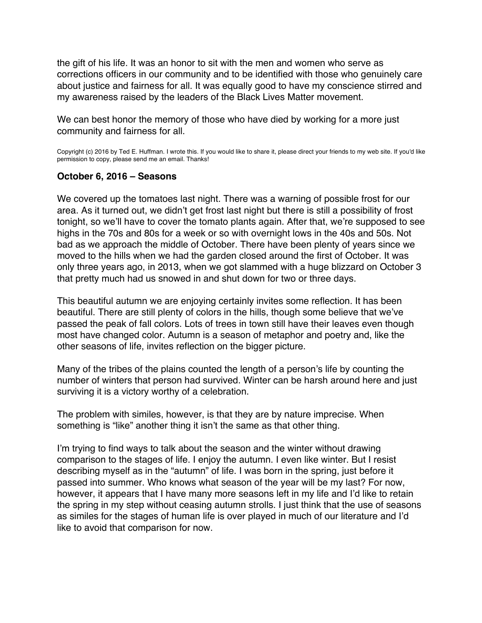<span id="page-11-0"></span>the gift of his life. It was an honor to sit with the men and women who serve as corrections officers in our community and to be identified with those who genuinely care about justice and fairness for all. It was equally good to have my conscience stirred and my awareness raised by the leaders of the Black Lives Matter movement.

We can best honor the memory of those who have died by working for a more just community and fairness for all.

Copyright (c) 2016 by Ted E. Huffman. I wrote this. If you would like to share it, please direct your friends to my web site. If you'd like permission to copy, please send me an email. Thanks!

#### **October 6, 2016 – Seasons**

We covered up the tomatoes last night. There was a warning of possible frost for our area. As it turned out, we didn't get frost last night but there is still a possibility of frost tonight, so we'll have to cover the tomato plants again. After that, we're supposed to see highs in the 70s and 80s for a week or so with overnight lows in the 40s and 50s. Not bad as we approach the middle of October. There have been plenty of years since we moved to the hills when we had the garden closed around the first of October. It was only three years ago, in 2013, when we got slammed with a huge blizzard on October 3 that pretty much had us snowed in and shut down for two or three days.

This beautiful autumn we are enjoying certainly invites some reflection. It has been beautiful. There are still plenty of colors in the hills, though some believe that we've passed the peak of fall colors. Lots of trees in town still have their leaves even though most have changed color. Autumn is a season of metaphor and poetry and, like the other seasons of life, invites reflection on the bigger picture.

Many of the tribes of the plains counted the length of a person's life by counting the number of winters that person had survived. Winter can be harsh around here and just surviving it is a victory worthy of a celebration.

The problem with similes, however, is that they are by nature imprecise. When something is "like" another thing it isn't the same as that other thing.

I'm trying to find ways to talk about the season and the winter without drawing comparison to the stages of life. I enjoy the autumn. I even like winter. But I resist describing myself as in the "autumn" of life. I was born in the spring, just before it passed into summer. Who knows what season of the year will be my last? For now, however, it appears that I have many more seasons left in my life and I'd like to retain the spring in my step without ceasing autumn strolls. I just think that the use of seasons as similes for the stages of human life is over played in much of our literature and I'd like to avoid that comparison for now.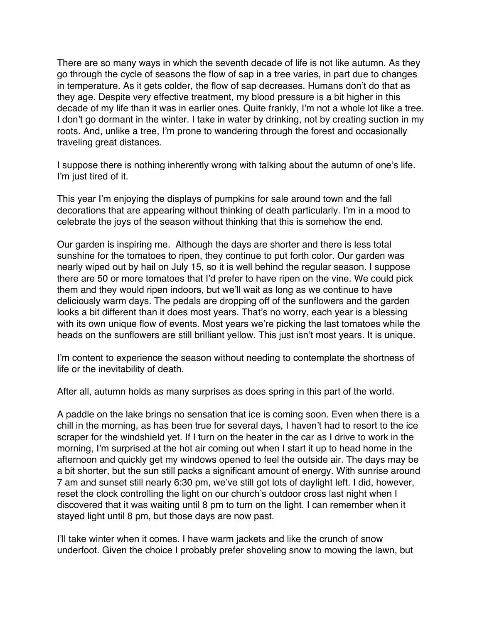There are so many ways in which the seventh decade of life is not like autumn. As they go through the cycle of seasons the flow of sap in a tree varies, in part due to changes in temperature. As it gets colder, the flow of sap decreases. Humans don't do that as they age. Despite very effective treatment, my blood pressure is a bit higher in this decade of my life than it was in earlier ones. Quite frankly, I'm not a whole lot like a tree. I don't go dormant in the winter. I take in water by drinking, not by creating suction in my roots. And, unlike a tree, I'm prone to wandering through the forest and occasionally traveling great distances.

I suppose there is nothing inherently wrong with talking about the autumn of one's life. I'm just tired of it.

This year I'm enjoying the displays of pumpkins for sale around town and the fall decorations that are appearing without thinking of death particularly. I'm in a mood to celebrate the joys of the season without thinking that this is somehow the end.

Our garden is inspiring me. Although the days are shorter and there is less total sunshine for the tomatoes to ripen, they continue to put forth color. Our garden was nearly wiped out by hail on July 15, so it is well behind the regular season. I suppose there are 50 or more tomatoes that I'd prefer to have ripen on the vine. We could pick them and they would ripen indoors, but we'll wait as long as we continue to have deliciously warm days. The pedals are dropping off of the sunflowers and the garden looks a bit different than it does most years. That's no worry, each year is a blessing with its own unique flow of events. Most years we're picking the last tomatoes while the heads on the sunflowers are still brilliant yellow. This just isn't most years. It is unique.

I'm content to experience the season without needing to contemplate the shortness of life or the inevitability of death.

After all, autumn holds as many surprises as does spring in this part of the world.

A paddle on the lake brings no sensation that ice is coming soon. Even when there is a chill in the morning, as has been true for several days, I haven't had to resort to the ice scraper for the windshield yet. If I turn on the heater in the car as I drive to work in the morning, I'm surprised at the hot air coming out when I start it up to head home in the afternoon and quickly get my windows opened to feel the outside air. The days may be a bit shorter, but the sun still packs a significant amount of energy. With sunrise around 7 am and sunset still nearly 6:30 pm, we've still got lots of daylight left. I did, however, reset the clock controlling the light on our church's outdoor cross last night when I discovered that it was waiting until 8 pm to turn on the light. I can remember when it stayed light until 8 pm, but those days are now past.

I'll take winter when it comes. I have warm jackets and like the crunch of snow underfoot. Given the choice I probably prefer shoveling snow to mowing the lawn, but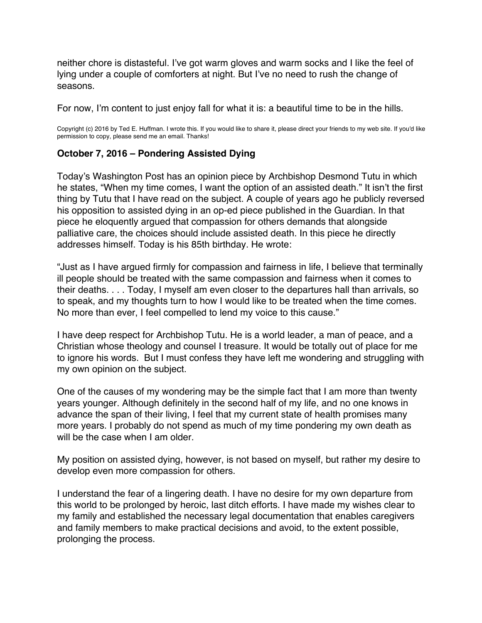<span id="page-13-0"></span>neither chore is distasteful. I've got warm gloves and warm socks and I like the feel of lying under a couple of comforters at night. But I've no need to rush the change of seasons.

For now, I'm content to just enjoy fall for what it is: a beautiful time to be in the hills.

Copyright (c) 2016 by Ted E. Huffman. I wrote this. If you would like to share it, please direct your friends to my web site. If you'd like permission to copy, please send me an email. Thanks!

# **October 7, 2016 – Pondering Assisted Dying**

Today's Washington Post has an opinion piece by Archbishop Desmond Tutu in which he states, "When my time comes, I want the option of an assisted death." It isn't the first thing by Tutu that I have read on the subject. A couple of years ago he publicly reversed his opposition to assisted dying in an op-ed piece published in the Guardian. In that piece he eloquently argued that compassion for others demands that alongside palliative care, the choices should include assisted death. In this piece he directly addresses himself. Today is his 85th birthday. He wrote:

"Just as I have argued firmly for compassion and fairness in life, I believe that terminally ill people should be treated with the same compassion and fairness when it comes to their deaths. . . . Today, I myself am even closer to the departures hall than arrivals, so to speak, and my thoughts turn to how I would like to be treated when the time comes. No more than ever, I feel compelled to lend my voice to this cause."

I have deep respect for Archbishop Tutu. He is a world leader, a man of peace, and a Christian whose theology and counsel I treasure. It would be totally out of place for me to ignore his words. But I must confess they have left me wondering and struggling with my own opinion on the subject.

One of the causes of my wondering may be the simple fact that I am more than twenty years younger. Although definitely in the second half of my life, and no one knows in advance the span of their living, I feel that my current state of health promises many more years. I probably do not spend as much of my time pondering my own death as will be the case when I am older.

My position on assisted dying, however, is not based on myself, but rather my desire to develop even more compassion for others.

I understand the fear of a lingering death. I have no desire for my own departure from this world to be prolonged by heroic, last ditch efforts. I have made my wishes clear to my family and established the necessary legal documentation that enables caregivers and family members to make practical decisions and avoid, to the extent possible, prolonging the process.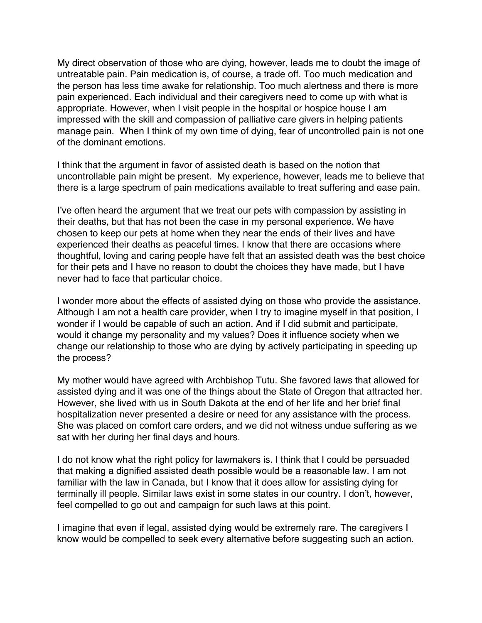My direct observation of those who are dying, however, leads me to doubt the image of untreatable pain. Pain medication is, of course, a trade off. Too much medication and the person has less time awake for relationship. Too much alertness and there is more pain experienced. Each individual and their caregivers need to come up with what is appropriate. However, when I visit people in the hospital or hospice house I am impressed with the skill and compassion of palliative care givers in helping patients manage pain. When I think of my own time of dying, fear of uncontrolled pain is not one of the dominant emotions.

I think that the argument in favor of assisted death is based on the notion that uncontrollable pain might be present. My experience, however, leads me to believe that there is a large spectrum of pain medications available to treat suffering and ease pain.

I've often heard the argument that we treat our pets with compassion by assisting in their deaths, but that has not been the case in my personal experience. We have chosen to keep our pets at home when they near the ends of their lives and have experienced their deaths as peaceful times. I know that there are occasions where thoughtful, loving and caring people have felt that an assisted death was the best choice for their pets and I have no reason to doubt the choices they have made, but I have never had to face that particular choice.

I wonder more about the effects of assisted dying on those who provide the assistance. Although I am not a health care provider, when I try to imagine myself in that position, I wonder if I would be capable of such an action. And if I did submit and participate, would it change my personality and my values? Does it influence society when we change our relationship to those who are dying by actively participating in speeding up the process?

My mother would have agreed with Archbishop Tutu. She favored laws that allowed for assisted dying and it was one of the things about the State of Oregon that attracted her. However, she lived with us in South Dakota at the end of her life and her brief final hospitalization never presented a desire or need for any assistance with the process. She was placed on comfort care orders, and we did not witness undue suffering as we sat with her during her final days and hours.

I do not know what the right policy for lawmakers is. I think that I could be persuaded that making a dignified assisted death possible would be a reasonable law. I am not familiar with the law in Canada, but I know that it does allow for assisting dying for terminally ill people. Similar laws exist in some states in our country. I don't, however, feel compelled to go out and campaign for such laws at this point.

I imagine that even if legal, assisted dying would be extremely rare. The caregivers I know would be compelled to seek every alternative before suggesting such an action.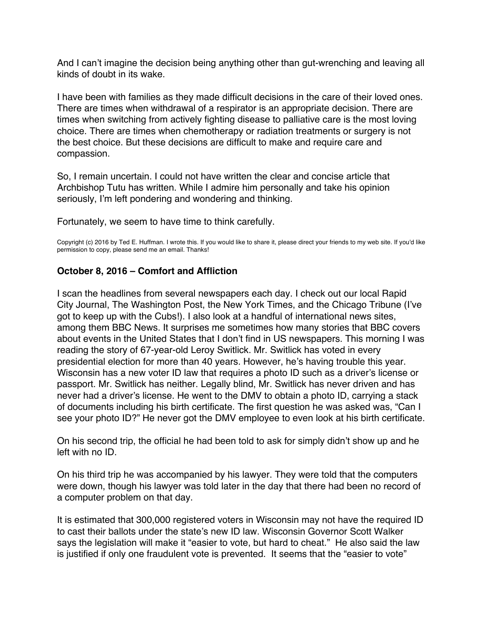<span id="page-15-0"></span>And I can't imagine the decision being anything other than gut-wrenching and leaving all kinds of doubt in its wake.

I have been with families as they made difficult decisions in the care of their loved ones. There are times when withdrawal of a respirator is an appropriate decision. There are times when switching from actively fighting disease to palliative care is the most loving choice. There are times when chemotherapy or radiation treatments or surgery is not the best choice. But these decisions are difficult to make and require care and compassion.

So, I remain uncertain. I could not have written the clear and concise article that Archbishop Tutu has written. While I admire him personally and take his opinion seriously, I'm left pondering and wondering and thinking.

Fortunately, we seem to have time to think carefully.

Copyright (c) 2016 by Ted E. Huffman. I wrote this. If you would like to share it, please direct your friends to my web site. If you'd like permission to copy, please send me an email. Thanks!

# **October 8, 2016 – Comfort and Affliction**

I scan the headlines from several newspapers each day. I check out our local Rapid City Journal, The Washington Post, the New York Times, and the Chicago Tribune (I've got to keep up with the Cubs!). I also look at a handful of international news sites, among them BBC News. It surprises me sometimes how many stories that BBC covers about events in the United States that I don't find in US newspapers. This morning I was reading the story of 67-year-old Leroy Switlick. Mr. Switlick has voted in every presidential election for more than 40 years. However, he's having trouble this year. Wisconsin has a new voter ID law that requires a photo ID such as a driver's license or passport. Mr. Switlick has neither. Legally blind, Mr. Switlick has never driven and has never had a driver's license. He went to the DMV to obtain a photo ID, carrying a stack of documents including his birth certificate. The first question he was asked was, "Can I see your photo ID?" He never got the DMV employee to even look at his birth certificate.

On his second trip, the official he had been told to ask for simply didn't show up and he left with no ID.

On his third trip he was accompanied by his lawyer. They were told that the computers were down, though his lawyer was told later in the day that there had been no record of a computer problem on that day.

It is estimated that 300,000 registered voters in Wisconsin may not have the required ID to cast their ballots under the state's new ID law. Wisconsin Governor Scott Walker says the legislation will make it "easier to vote, but hard to cheat." He also said the law is justified if only one fraudulent vote is prevented. It seems that the "easier to vote"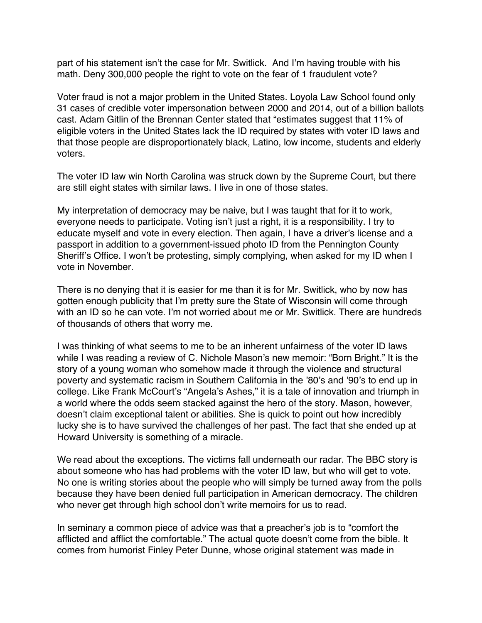part of his statement isn't the case for Mr. Switlick. And I'm having trouble with his math. Deny 300,000 people the right to vote on the fear of 1 fraudulent vote?

Voter fraud is not a major problem in the United States. Loyola Law School found only 31 cases of credible voter impersonation between 2000 and 2014, out of a billion ballots cast. Adam Gitlin of the Brennan Center stated that "estimates suggest that 11% of eligible voters in the United States lack the ID required by states with voter ID laws and that those people are disproportionately black, Latino, low income, students and elderly voters.

The voter ID law win North Carolina was struck down by the Supreme Court, but there are still eight states with similar laws. I live in one of those states.

My interpretation of democracy may be naive, but I was taught that for it to work, everyone needs to participate. Voting isn't just a right, it is a responsibility. I try to educate myself and vote in every election. Then again, I have a driver's license and a passport in addition to a government-issued photo ID from the Pennington County Sheriff's Office. I won't be protesting, simply complying, when asked for my ID when I vote in November.

There is no denying that it is easier for me than it is for Mr. Switlick, who by now has gotten enough publicity that I'm pretty sure the State of Wisconsin will come through with an ID so he can vote. I'm not worried about me or Mr. Switlick. There are hundreds of thousands of others that worry me.

I was thinking of what seems to me to be an inherent unfairness of the voter ID laws while I was reading a review of C. Nichole Mason's new memoir: "Born Bright." It is the story of a young woman who somehow made it through the violence and structural poverty and systematic racism in Southern California in the '80's and '90's to end up in college. Like Frank McCourt's "Angela's Ashes," it is a tale of innovation and triumph in a world where the odds seem stacked against the hero of the story. Mason, however, doesn't claim exceptional talent or abilities. She is quick to point out how incredibly lucky she is to have survived the challenges of her past. The fact that she ended up at Howard University is something of a miracle.

We read about the exceptions. The victims fall underneath our radar. The BBC story is about someone who has had problems with the voter ID law, but who will get to vote. No one is writing stories about the people who will simply be turned away from the polls because they have been denied full participation in American democracy. The children who never get through high school don't write memoirs for us to read.

In seminary a common piece of advice was that a preacher's job is to "comfort the afflicted and afflict the comfortable." The actual quote doesn't come from the bible. It comes from humorist Finley Peter Dunne, whose original statement was made in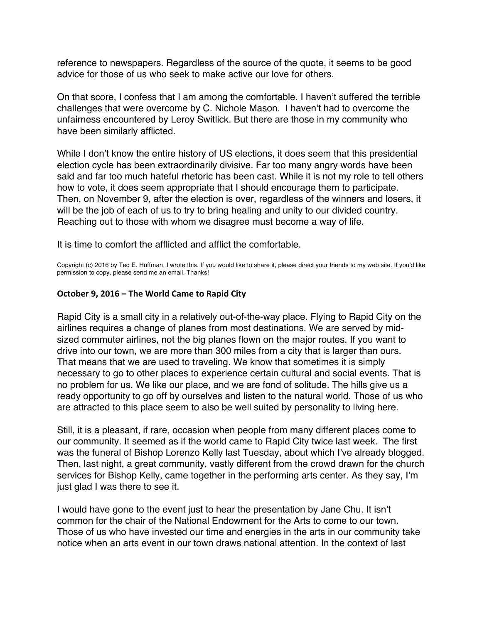<span id="page-17-0"></span>reference to newspapers. Regardless of the source of the quote, it seems to be good advice for those of us who seek to make active our love for others.

On that score, I confess that I am among the comfortable. I haven't suffered the terrible challenges that were overcome by C. Nichole Mason. I haven't had to overcome the unfairness encountered by Leroy Switlick. But there are those in my community who have been similarly afflicted.

While I don't know the entire history of US elections, it does seem that this presidential election cycle has been extraordinarily divisive. Far too many angry words have been said and far too much hateful rhetoric has been cast. While it is not my role to tell others how to vote, it does seem appropriate that I should encourage them to participate. Then, on November 9, after the election is over, regardless of the winners and losers, it will be the job of each of us to try to bring healing and unity to our divided country. Reaching out to those with whom we disagree must become a way of life.

It is time to comfort the afflicted and afflict the comfortable.

Copyright (c) 2016 by Ted E. Huffman. I wrote this. If you would like to share it, please direct your friends to my web site. If you'd like permission to copy, please send me an email. Thanks!

#### **October 9, 2016 – The World Came to Rapid City**

Rapid City is a small city in a relatively out-of-the-way place. Flying to Rapid City on the airlines requires a change of planes from most destinations. We are served by midsized commuter airlines, not the big planes flown on the major routes. If you want to drive into our town, we are more than 300 miles from a city that is larger than ours. That means that we are used to traveling. We know that sometimes it is simply necessary to go to other places to experience certain cultural and social events. That is no problem for us. We like our place, and we are fond of solitude. The hills give us a ready opportunity to go off by ourselves and listen to the natural world. Those of us who are attracted to this place seem to also be well suited by personality to living here.

Still, it is a pleasant, if rare, occasion when people from many different places come to our community. It seemed as if the world came to Rapid City twice last week. The first was the funeral of Bishop Lorenzo Kelly last Tuesday, about which I've already blogged. Then, last night, a great community, vastly different from the crowd drawn for the church services for Bishop Kelly, came together in the performing arts center. As they say, I'm just glad I was there to see it.

I would have gone to the event just to hear the presentation by Jane Chu. It isn't common for the chair of the National Endowment for the Arts to come to our town. Those of us who have invested our time and energies in the arts in our community take notice when an arts event in our town draws national attention. In the context of last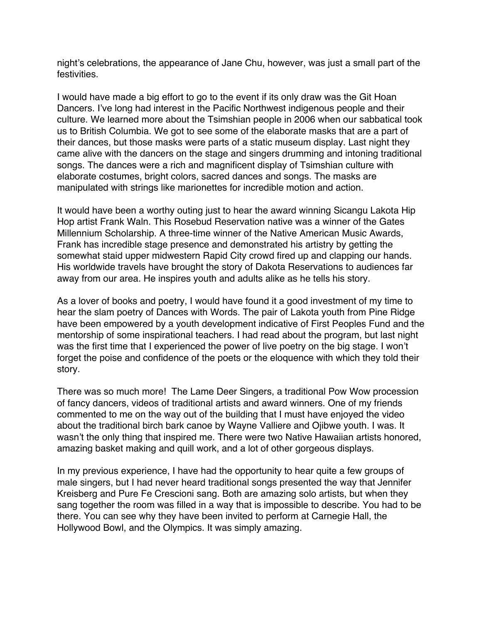night's celebrations, the appearance of Jane Chu, however, was just a small part of the festivities.

I would have made a big effort to go to the event if its only draw was the Git Hoan Dancers. I've long had interest in the Pacific Northwest indigenous people and their culture. We learned more about the Tsimshian people in 2006 when our sabbatical took us to British Columbia. We got to see some of the elaborate masks that are a part of their dances, but those masks were parts of a static museum display. Last night they came alive with the dancers on the stage and singers drumming and intoning traditional songs. The dances were a rich and magnificent display of Tsimshian culture with elaborate costumes, bright colors, sacred dances and songs. The masks are manipulated with strings like marionettes for incredible motion and action.

It would have been a worthy outing just to hear the award winning Sicangu Lakota Hip Hop artist Frank Waln. This Rosebud Reservation native was a winner of the Gates Millennium Scholarship. A three-time winner of the Native American Music Awards, Frank has incredible stage presence and demonstrated his artistry by getting the somewhat staid upper midwestern Rapid City crowd fired up and clapping our hands. His worldwide travels have brought the story of Dakota Reservations to audiences far away from our area. He inspires youth and adults alike as he tells his story.

As a lover of books and poetry, I would have found it a good investment of my time to hear the slam poetry of Dances with Words. The pair of Lakota youth from Pine Ridge have been empowered by a youth development indicative of First Peoples Fund and the mentorship of some inspirational teachers. I had read about the program, but last night was the first time that I experienced the power of live poetry on the big stage. I won't forget the poise and confidence of the poets or the eloquence with which they told their story.

There was so much more! The Lame Deer Singers, a traditional Pow Wow procession of fancy dancers, videos of traditional artists and award winners. One of my friends commented to me on the way out of the building that I must have enjoyed the video about the traditional birch bark canoe by Wayne Valliere and Ojibwe youth. I was. It wasn't the only thing that inspired me. There were two Native Hawaiian artists honored, amazing basket making and quill work, and a lot of other gorgeous displays.

In my previous experience, I have had the opportunity to hear quite a few groups of male singers, but I had never heard traditional songs presented the way that Jennifer Kreisberg and Pure Fe Crescioni sang. Both are amazing solo artists, but when they sang together the room was filled in a way that is impossible to describe. You had to be there. You can see why they have been invited to perform at Carnegie Hall, the Hollywood Bowl, and the Olympics. It was simply amazing.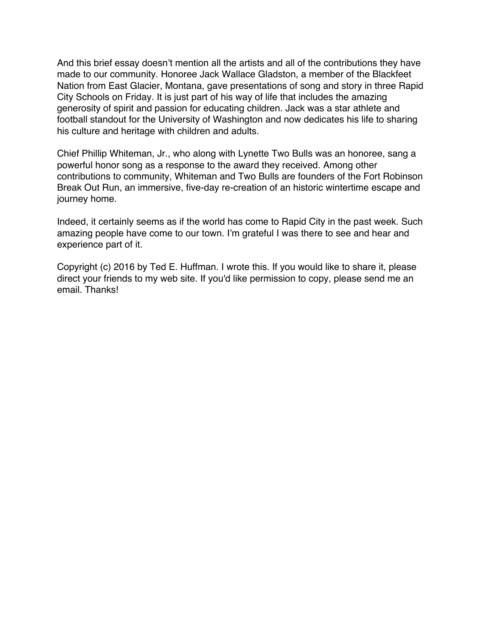And this brief essay doesn't mention all the artists and all of the contributions they have made to our community. Honoree Jack Wallace Gladston, a member of the Blackfeet Nation from East Glacier, Montana, gave presentations of song and story in three Rapid City Schools on Friday. It is just part of his way of life that includes the amazing generosity of spirit and passion for educating children. Jack was a star athlete and football standout for the University of Washington and now dedicates his life to sharing his culture and heritage with children and adults.

Chief Phillip Whiteman, Jr., who along with Lynette Two Bulls was an honoree, sang a powerful honor song as a response to the award they received. Among other contributions to community, Whiteman and Two Bulls are founders of the Fort Robinson Break Out Run, an immersive, five-day re-creation of an historic wintertime escape and journey home.

Indeed, it certainly seems as if the world has come to Rapid City in the past week. Such amazing people have come to our town. I'm grateful I was there to see and hear and experience part of it.

Copyright (c) 2016 by Ted E. Huffman. I wrote this. If you would like to share it, please direct your friends to my web site. If you'd like permission to copy, please send me an email. Thanks!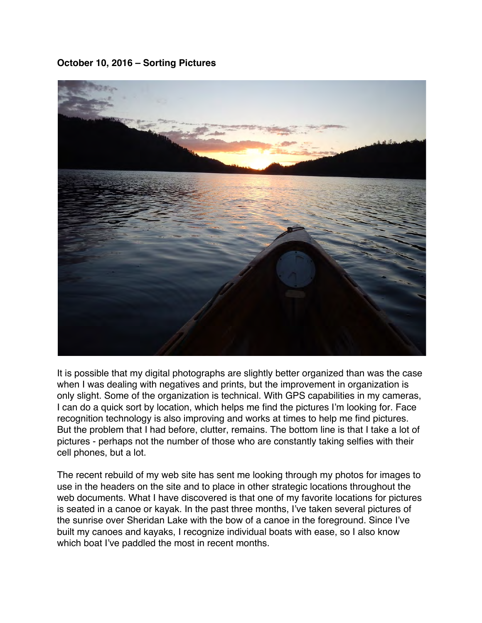<span id="page-20-0"></span>**October 10, 2016 – Sorting Pictures**



It is possible that my digital photographs are slightly better organized than was the case when I was dealing with negatives and prints, but the improvement in organization is only slight. Some of the organization is technical. With GPS capabilities in my cameras, I can do a quick sort by location, which helps me find the pictures I'm looking for. Face recognition technology is also improving and works at times to help me find pictures. But the problem that I had before, clutter, remains. The bottom line is that I take a lot of pictures - perhaps not the number of those who are constantly taking selfies with their cell phones, but a lot.

The recent rebuild of my web site has sent me looking through my photos for images to use in the headers on the site and to place in other strategic locations throughout the web documents. What I have discovered is that one of my favorite locations for pictures is seated in a canoe or kayak. In the past three months, I've taken several pictures of the sunrise over Sheridan Lake with the bow of a canoe in the foreground. Since I've built my canoes and kayaks, I recognize individual boats with ease, so I also know which boat I've paddled the most in recent months.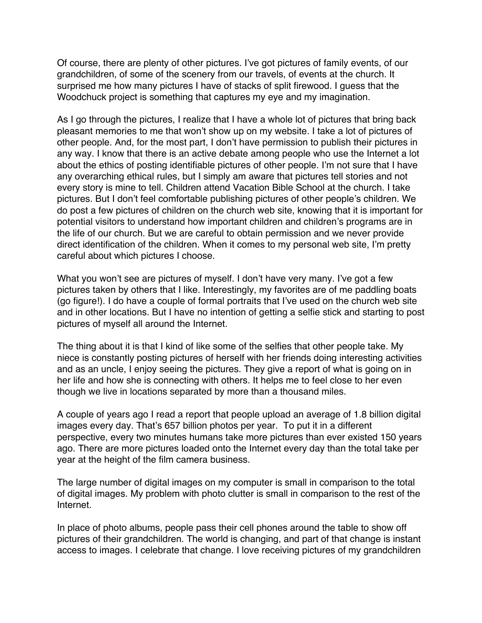Of course, there are plenty of other pictures. I've got pictures of family events, of our grandchildren, of some of the scenery from our travels, of events at the church. It surprised me how many pictures I have of stacks of split firewood. I guess that the Woodchuck project is something that captures my eye and my imagination.

As I go through the pictures, I realize that I have a whole lot of pictures that bring back pleasant memories to me that won't show up on my website. I take a lot of pictures of other people. And, for the most part, I don't have permission to publish their pictures in any way. I know that there is an active debate among people who use the Internet a lot about the ethics of posting identifiable pictures of other people. I'm not sure that I have any overarching ethical rules, but I simply am aware that pictures tell stories and not every story is mine to tell. Children attend Vacation Bible School at the church. I take pictures. But I don't feel comfortable publishing pictures of other people's children. We do post a few pictures of children on the church web site, knowing that it is important for potential visitors to understand how important children and children's programs are in the life of our church. But we are careful to obtain permission and we never provide direct identification of the children. When it comes to my personal web site, I'm pretty careful about which pictures I choose.

What you won't see are pictures of myself. I don't have very many. I've got a few pictures taken by others that I like. Interestingly, my favorites are of me paddling boats (go figure!). I do have a couple of formal portraits that I've used on the church web site and in other locations. But I have no intention of getting a selfie stick and starting to post pictures of myself all around the Internet.

The thing about it is that I kind of like some of the selfies that other people take. My niece is constantly posting pictures of herself with her friends doing interesting activities and as an uncle, I enjoy seeing the pictures. They give a report of what is going on in her life and how she is connecting with others. It helps me to feel close to her even though we live in locations separated by more than a thousand miles.

A couple of years ago I read a report that people upload an average of 1.8 billion digital images every day. That's 657 billion photos per year. To put it in a different perspective, every two minutes humans take more pictures than ever existed 150 years ago. There are more pictures loaded onto the Internet every day than the total take per year at the height of the film camera business.

The large number of digital images on my computer is small in comparison to the total of digital images. My problem with photo clutter is small in comparison to the rest of the Internet.

In place of photo albums, people pass their cell phones around the table to show off pictures of their grandchildren. The world is changing, and part of that change is instant access to images. I celebrate that change. I love receiving pictures of my grandchildren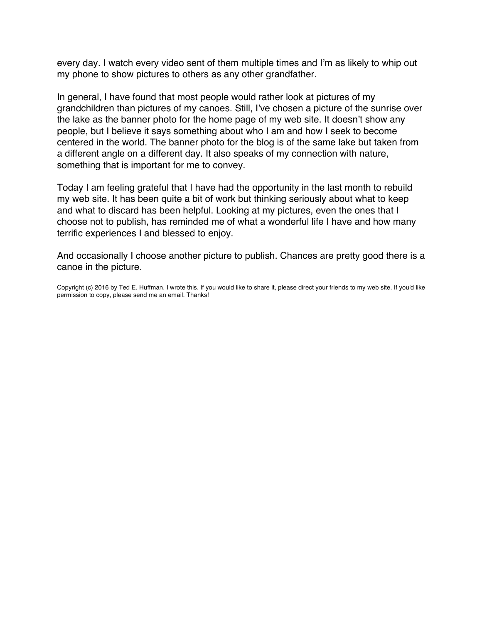every day. I watch every video sent of them multiple times and I'm as likely to whip out my phone to show pictures to others as any other grandfather.

In general, I have found that most people would rather look at pictures of my grandchildren than pictures of my canoes. Still, I've chosen a picture of the sunrise over the lake as the banner photo for the home page of my web site. It doesn't show any people, but I believe it says something about who I am and how I seek to become centered in the world. The banner photo for the blog is of the same lake but taken from a different angle on a different day. It also speaks of my connection with nature, something that is important for me to convey.

Today I am feeling grateful that I have had the opportunity in the last month to rebuild my web site. It has been quite a bit of work but thinking seriously about what to keep and what to discard has been helpful. Looking at my pictures, even the ones that I choose not to publish, has reminded me of what a wonderful life I have and how many terrific experiences I and blessed to enjoy.

And occasionally I choose another picture to publish. Chances are pretty good there is a canoe in the picture.

Copyright (c) 2016 by Ted E. Huffman. I wrote this. If you would like to share it, please direct your friends to my web site. If you'd like permission to copy, please send me an email. Thanks!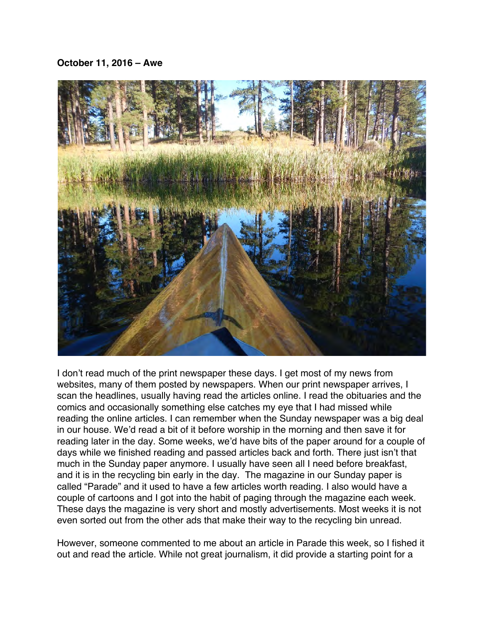# <span id="page-23-0"></span>**October 11, 2016 – Awe**



I don't read much of the print newspaper these days. I get most of my news from websites, many of them posted by newspapers. When our print newspaper arrives, I scan the headlines, usually having read the articles online. I read the obituaries and the comics and occasionally something else catches my eye that I had missed while reading the online articles. I can remember when the Sunday newspaper was a big deal in our house. We'd read a bit of it before worship in the morning and then save it for reading later in the day. Some weeks, we'd have bits of the paper around for a couple of days while we finished reading and passed articles back and forth. There just isn't that much in the Sunday paper anymore. I usually have seen all I need before breakfast, and it is in the recycling bin early in the day. The magazine in our Sunday paper is called "Parade" and it used to have a few articles worth reading. I also would have a couple of cartoons and I got into the habit of paging through the magazine each week. These days the magazine is very short and mostly advertisements. Most weeks it is not even sorted out from the other ads that make their way to the recycling bin unread.

However, someone commented to me about an article in Parade this week, so I fished it out and read the article. While not great journalism, it did provide a starting point for a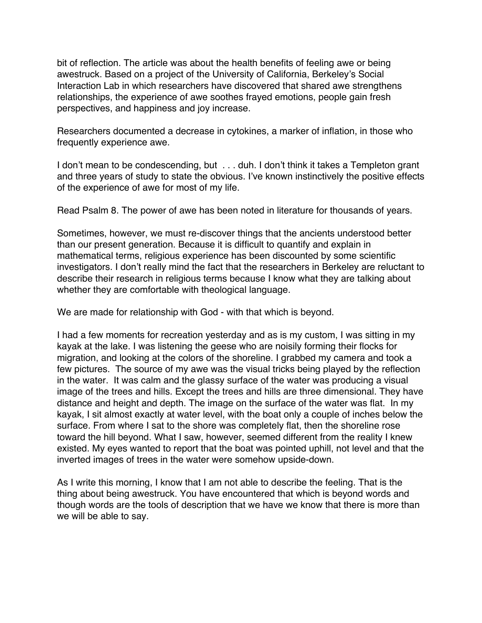bit of reflection. The article was about the health benefits of feeling awe or being awestruck. Based on a project of the University of California, Berkeley's Social Interaction Lab in which researchers have discovered that shared awe strengthens relationships, the experience of awe soothes frayed emotions, people gain fresh perspectives, and happiness and joy increase.

Researchers documented a decrease in cytokines, a marker of inflation, in those who frequently experience awe.

I don't mean to be condescending, but . . . duh. I don't think it takes a Templeton grant and three years of study to state the obvious. I've known instinctively the positive effects of the experience of awe for most of my life.

Read Psalm 8. The power of awe has been noted in literature for thousands of years.

Sometimes, however, we must re-discover things that the ancients understood better than our present generation. Because it is difficult to quantify and explain in mathematical terms, religious experience has been discounted by some scientific investigators. I don't really mind the fact that the researchers in Berkeley are reluctant to describe their research in religious terms because I know what they are talking about whether they are comfortable with theological language.

We are made for relationship with God - with that which is beyond.

I had a few moments for recreation yesterday and as is my custom, I was sitting in my kayak at the lake. I was listening the geese who are noisily forming their flocks for migration, and looking at the colors of the shoreline. I grabbed my camera and took a few pictures. The source of my awe was the visual tricks being played by the reflection in the water. It was calm and the glassy surface of the water was producing a visual image of the trees and hills. Except the trees and hills are three dimensional. They have distance and height and depth. The image on the surface of the water was flat. In my kayak, I sit almost exactly at water level, with the boat only a couple of inches below the surface. From where I sat to the shore was completely flat, then the shoreline rose toward the hill beyond. What I saw, however, seemed different from the reality I knew existed. My eyes wanted to report that the boat was pointed uphill, not level and that the inverted images of trees in the water were somehow upside-down.

As I write this morning, I know that I am not able to describe the feeling. That is the thing about being awestruck. You have encountered that which is beyond words and though words are the tools of description that we have we know that there is more than we will be able to say.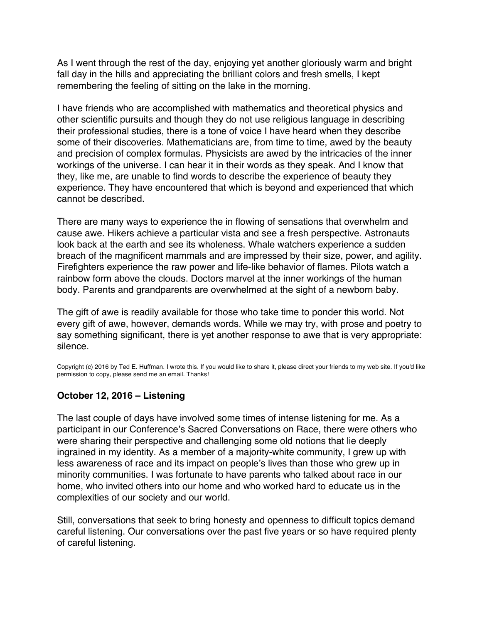<span id="page-25-0"></span>As I went through the rest of the day, enjoying yet another gloriously warm and bright fall day in the hills and appreciating the brilliant colors and fresh smells, I kept remembering the feeling of sitting on the lake in the morning.

I have friends who are accomplished with mathematics and theoretical physics and other scientific pursuits and though they do not use religious language in describing their professional studies, there is a tone of voice I have heard when they describe some of their discoveries. Mathematicians are, from time to time, awed by the beauty and precision of complex formulas. Physicists are awed by the intricacies of the inner workings of the universe. I can hear it in their words as they speak. And I know that they, like me, are unable to find words to describe the experience of beauty they experience. They have encountered that which is beyond and experienced that which cannot be described.

There are many ways to experience the in flowing of sensations that overwhelm and cause awe. Hikers achieve a particular vista and see a fresh perspective. Astronauts look back at the earth and see its wholeness. Whale watchers experience a sudden breach of the magnificent mammals and are impressed by their size, power, and agility. Firefighters experience the raw power and life-like behavior of flames. Pilots watch a rainbow form above the clouds. Doctors marvel at the inner workings of the human body. Parents and grandparents are overwhelmed at the sight of a newborn baby.

The gift of awe is readily available for those who take time to ponder this world. Not every gift of awe, however, demands words. While we may try, with prose and poetry to say something significant, there is yet another response to awe that is very appropriate: silence.

Copyright (c) 2016 by Ted E. Huffman. I wrote this. If you would like to share it, please direct your friends to my web site. If you'd like permission to copy, please send me an email. Thanks!

# **October 12, 2016 – Listening**

The last couple of days have involved some times of intense listening for me. As a participant in our Conference's Sacred Conversations on Race, there were others who were sharing their perspective and challenging some old notions that lie deeply ingrained in my identity. As a member of a majority-white community, I grew up with less awareness of race and its impact on people's lives than those who grew up in minority communities. I was fortunate to have parents who talked about race in our home, who invited others into our home and who worked hard to educate us in the complexities of our society and our world.

Still, conversations that seek to bring honesty and openness to difficult topics demand careful listening. Our conversations over the past five years or so have required plenty of careful listening.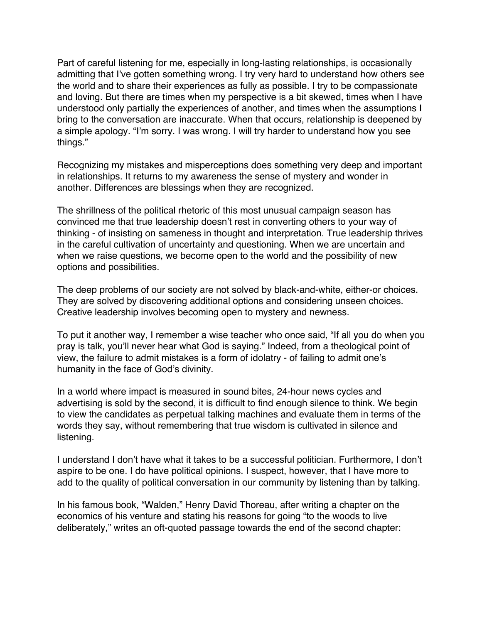Part of careful listening for me, especially in long-lasting relationships, is occasionally admitting that I've gotten something wrong. I try very hard to understand how others see the world and to share their experiences as fully as possible. I try to be compassionate and loving. But there are times when my perspective is a bit skewed, times when I have understood only partially the experiences of another, and times when the assumptions I bring to the conversation are inaccurate. When that occurs, relationship is deepened by a simple apology. "I'm sorry. I was wrong. I will try harder to understand how you see things."

Recognizing my mistakes and misperceptions does something very deep and important in relationships. It returns to my awareness the sense of mystery and wonder in another. Differences are blessings when they are recognized.

The shrillness of the political rhetoric of this most unusual campaign season has convinced me that true leadership doesn't rest in converting others to your way of thinking - of insisting on sameness in thought and interpretation. True leadership thrives in the careful cultivation of uncertainty and questioning. When we are uncertain and when we raise questions, we become open to the world and the possibility of new options and possibilities.

The deep problems of our society are not solved by black-and-white, either-or choices. They are solved by discovering additional options and considering unseen choices. Creative leadership involves becoming open to mystery and newness.

To put it another way, I remember a wise teacher who once said, "If all you do when you pray is talk, you'll never hear what God is saying." Indeed, from a theological point of view, the failure to admit mistakes is a form of idolatry - of failing to admit one's humanity in the face of God's divinity.

In a world where impact is measured in sound bites, 24-hour news cycles and advertising is sold by the second, it is difficult to find enough silence to think. We begin to view the candidates as perpetual talking machines and evaluate them in terms of the words they say, without remembering that true wisdom is cultivated in silence and listening.

I understand I don't have what it takes to be a successful politician. Furthermore, I don't aspire to be one. I do have political opinions. I suspect, however, that I have more to add to the quality of political conversation in our community by listening than by talking.

In his famous book, "Walden," Henry David Thoreau, after writing a chapter on the economics of his venture and stating his reasons for going "to the woods to live deliberately," writes an oft-quoted passage towards the end of the second chapter: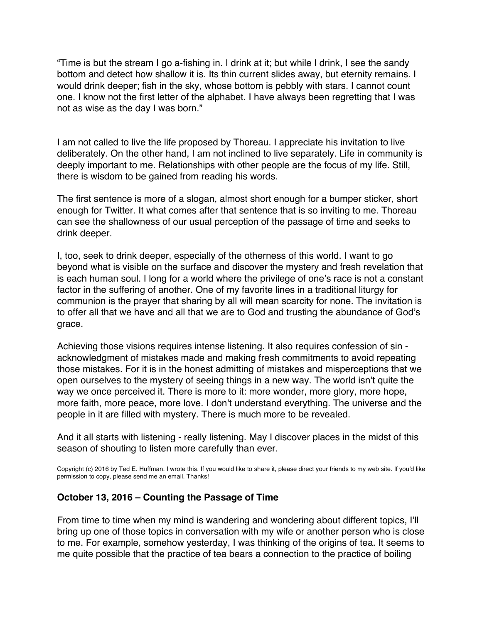"Time is but the stream I go a-fishing in. I drink at it; but while I drink, I see the sandy bottom and detect how shallow it is. Its thin current slides away, but eternity remains. I would drink deeper; fish in the sky, whose bottom is pebbly with stars. I cannot count one. I know not the first letter of the alphabet. I have always been regretting that I was not as wise as the day I was born."

I am not called to live the life proposed by Thoreau. I appreciate his invitation to live deliberately. On the other hand, I am not inclined to live separately. Life in community is deeply important to me. Relationships with other people are the focus of my life. Still, there is wisdom to be gained from reading his words.

The first sentence is more of a slogan, almost short enough for a bumper sticker, short enough for Twitter. It what comes after that sentence that is so inviting to me. Thoreau can see the shallowness of our usual perception of the passage of time and seeks to drink deeper.

I, too, seek to drink deeper, especially of the otherness of this world. I want to go beyond what is visible on the surface and discover the mystery and fresh revelation that is each human soul. I long for a world where the privilege of one's race is not a constant factor in the suffering of another. One of my favorite lines in a traditional liturgy for communion is the prayer that sharing by all will mean scarcity for none. The invitation is to offer all that we have and all that we are to God and trusting the abundance of God's grace.

Achieving those visions requires intense listening. It also requires confession of sin acknowledgment of mistakes made and making fresh commitments to avoid repeating those mistakes. For it is in the honest admitting of mistakes and misperceptions that we open ourselves to the mystery of seeing things in a new way. The world isn't quite the way we once perceived it. There is more to it: more wonder, more glory, more hope, more faith, more peace, more love. I don't understand everything. The universe and the people in it are filled with mystery. There is much more to be revealed.

And it all starts with listening - really listening. May I discover places in the midst of this season of shouting to listen more carefully than ever.

Copyright (c) 2016 by Ted E. Huffman. I wrote this. If you would like to share it, please direct your friends to my web site. If you'd like permission to copy, please send me an email. Thanks!

## **October 13, 2016 – Counting the Passage of Time**

From time to time when my mind is wandering and wondering about different topics, I'll bring up one of those topics in conversation with my wife or another person who is close to me. For example, somehow yesterday, I was thinking of the origins of tea. It seems to me quite possible that the practice of tea bears a connection to the practice of boiling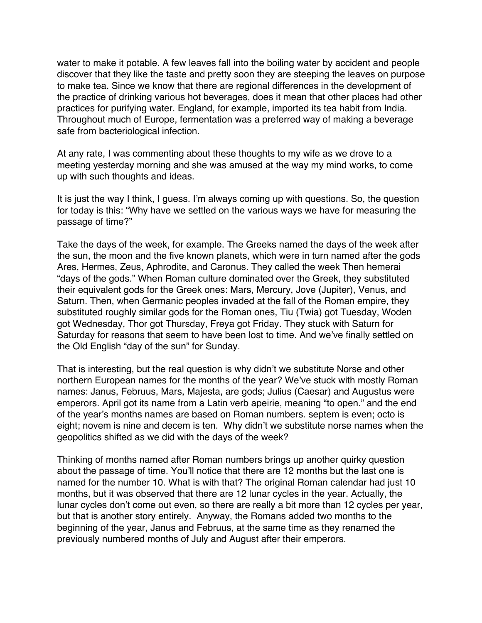<span id="page-28-0"></span>water to make it potable. A few leaves fall into the boiling water by accident and people discover that they like the taste and pretty soon they are steeping the leaves on purpose to make tea. Since we know that there are regional differences in the development of the practice of drinking various hot beverages, does it mean that other places had other practices for purifying water. England, for example, imported its tea habit from India. Throughout much of Europe, fermentation was a preferred way of making a beverage safe from bacteriological infection.

At any rate, I was commenting about these thoughts to my wife as we drove to a meeting yesterday morning and she was amused at the way my mind works, to come up with such thoughts and ideas.

It is just the way I think, I guess. I'm always coming up with questions. So, the question for today is this: "Why have we settled on the various ways we have for measuring the passage of time?"

Take the days of the week, for example. The Greeks named the days of the week after the sun, the moon and the five known planets, which were in turn named after the gods Ares, Hermes, Zeus, Aphrodite, and Caronus. They called the week Then hemerai "days of the gods." When Roman culture dominated over the Greek, they substituted their equivalent gods for the Greek ones: Mars, Mercury, Jove (Jupiter), Venus, and Saturn. Then, when Germanic peoples invaded at the fall of the Roman empire, they substituted roughly similar gods for the Roman ones, Tiu (Twia) got Tuesday, Woden got Wednesday, Thor got Thursday, Freya got Friday. They stuck with Saturn for Saturday for reasons that seem to have been lost to time. And we've finally settled on the Old English "day of the sun" for Sunday.

That is interesting, but the real question is why didn't we substitute Norse and other northern European names for the months of the year? We've stuck with mostly Roman names: Janus, Februus, Mars, Majesta, are gods; Julius (Caesar) and Augustus were emperors. April got its name from a Latin verb apeirie, meaning "to open." and the end of the year's months names are based on Roman numbers. septem is even; octo is eight; novem is nine and decem is ten. Why didn't we substitute norse names when the geopolitics shifted as we did with the days of the week?

Thinking of months named after Roman numbers brings up another quirky question about the passage of time. You'll notice that there are 12 months but the last one is named for the number 10. What is with that? The original Roman calendar had just 10 months, but it was observed that there are 12 lunar cycles in the year. Actually, the lunar cycles don't come out even, so there are really a bit more than 12 cycles per year, but that is another story entirely. Anyway, the Romans added two months to the beginning of the year, Janus and Februus, at the same time as they renamed the previously numbered months of July and August after their emperors.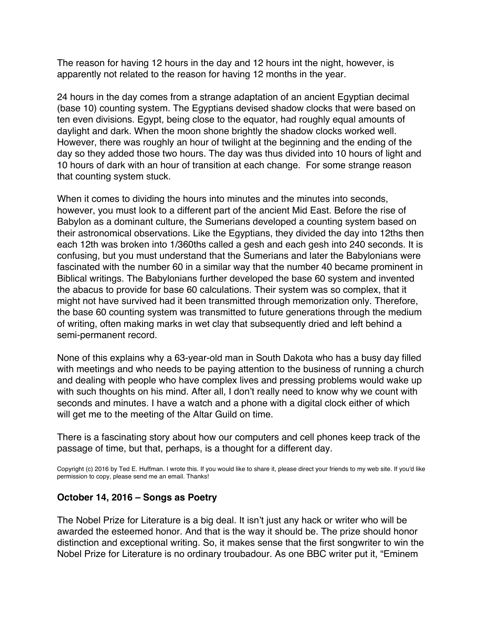The reason for having 12 hours in the day and 12 hours int the night, however, is apparently not related to the reason for having 12 months in the year.

24 hours in the day comes from a strange adaptation of an ancient Egyptian decimal (base 10) counting system. The Egyptians devised shadow clocks that were based on ten even divisions. Egypt, being close to the equator, had roughly equal amounts of daylight and dark. When the moon shone brightly the shadow clocks worked well. However, there was roughly an hour of twilight at the beginning and the ending of the day so they added those two hours. The day was thus divided into 10 hours of light and 10 hours of dark with an hour of transition at each change. For some strange reason that counting system stuck.

When it comes to dividing the hours into minutes and the minutes into seconds, however, you must look to a different part of the ancient Mid East. Before the rise of Babylon as a dominant culture, the Sumerians developed a counting system based on their astronomical observations. Like the Egyptians, they divided the day into 12ths then each 12th was broken into 1/360ths called a gesh and each gesh into 240 seconds. It is confusing, but you must understand that the Sumerians and later the Babylonians were fascinated with the number 60 in a similar way that the number 40 became prominent in Biblical writings. The Babylonians further developed the base 60 system and invented the abacus to provide for base 60 calculations. Their system was so complex, that it might not have survived had it been transmitted through memorization only. Therefore, the base 60 counting system was transmitted to future generations through the medium of writing, often making marks in wet clay that subsequently dried and left behind a semi-permanent record.

None of this explains why a 63-year-old man in South Dakota who has a busy day filled with meetings and who needs to be paying attention to the business of running a church and dealing with people who have complex lives and pressing problems would wake up with such thoughts on his mind. After all, I don't really need to know why we count with seconds and minutes. I have a watch and a phone with a digital clock either of which will get me to the meeting of the Altar Guild on time.

There is a fascinating story about how our computers and cell phones keep track of the passage of time, but that, perhaps, is a thought for a different day.

Copyright (c) 2016 by Ted E. Huffman. I wrote this. If you would like to share it, please direct your friends to my web site. If you'd like permission to copy, please send me an email. Thanks!

## **October 14, 2016 – Songs as Poetry**

The Nobel Prize for Literature is a big deal. It isn't just any hack or writer who will be awarded the esteemed honor. And that is the way it should be. The prize should honor distinction and exceptional writing. So, it makes sense that the first songwriter to win the Nobel Prize for Literature is no ordinary troubadour. As one BBC writer put it, "Eminem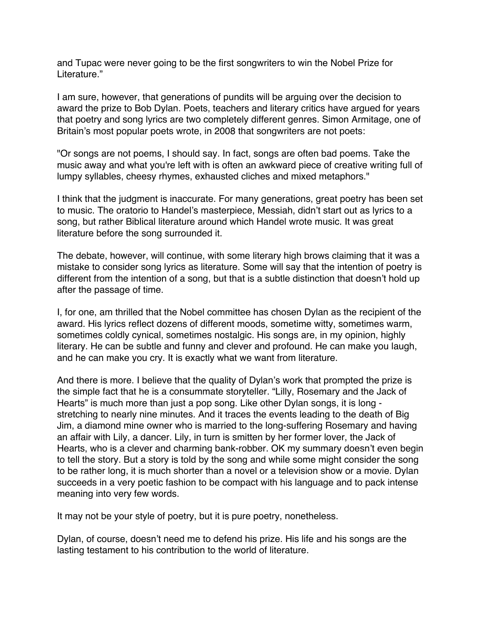<span id="page-30-0"></span>and Tupac were never going to be the first songwriters to win the Nobel Prize for Literature."

I am sure, however, that generations of pundits will be arguing over the decision to award the prize to Bob Dylan. Poets, teachers and literary critics have argued for years that poetry and song lyrics are two completely different genres. Simon Armitage, one of Britain's most popular poets wrote, in 2008 that songwriters are not poets:

"Or songs are not poems, I should say. In fact, songs are often bad poems. Take the music away and what you're left with is often an awkward piece of creative writing full of lumpy syllables, cheesy rhymes, exhausted cliches and mixed metaphors."

I think that the judgment is inaccurate. For many generations, great poetry has been set to music. The oratorio to Handel's masterpiece, Messiah, didn't start out as lyrics to a song, but rather Biblical literature around which Handel wrote music. It was great literature before the song surrounded it.

The debate, however, will continue, with some literary high brows claiming that it was a mistake to consider song lyrics as literature. Some will say that the intention of poetry is different from the intention of a song, but that is a subtle distinction that doesn't hold up after the passage of time.

I, for one, am thrilled that the Nobel committee has chosen Dylan as the recipient of the award. His lyrics reflect dozens of different moods, sometime witty, sometimes warm, sometimes coldly cynical, sometimes nostalgic. His songs are, in my opinion, highly literary. He can be subtle and funny and clever and profound. He can make you laugh, and he can make you cry. It is exactly what we want from literature.

And there is more. I believe that the quality of Dylan's work that prompted the prize is the simple fact that he is a consummate storyteller. "Lilly, Rosemary and the Jack of Hearts" is much more than just a pop song. Like other Dylan songs, it is long stretching to nearly nine minutes. And it traces the events leading to the death of Big Jim, a diamond mine owner who is married to the long-suffering Rosemary and having an affair with Lily, a dancer. Lily, in turn is smitten by her former lover, the Jack of Hearts, who is a clever and charming bank-robber. OK my summary doesn't even begin to tell the story. But a story is told by the song and while some might consider the song to be rather long, it is much shorter than a novel or a television show or a movie. Dylan succeeds in a very poetic fashion to be compact with his language and to pack intense meaning into very few words.

It may not be your style of poetry, but it is pure poetry, nonetheless.

Dylan, of course, doesn't need me to defend his prize. His life and his songs are the lasting testament to his contribution to the world of literature.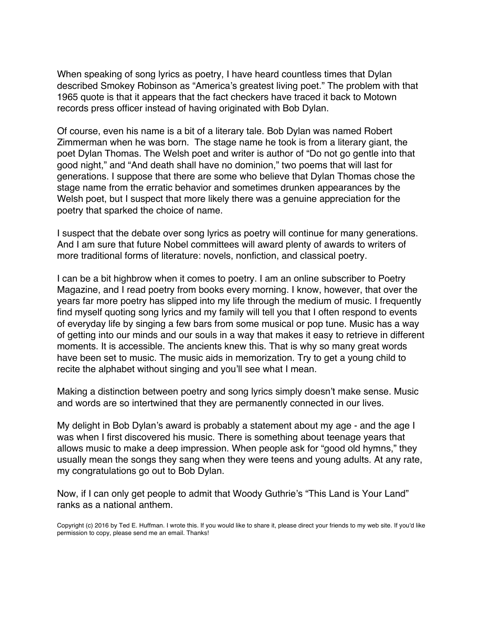When speaking of song lyrics as poetry, I have heard countless times that Dylan described Smokey Robinson as "America's greatest living poet." The problem with that 1965 quote is that it appears that the fact checkers have traced it back to Motown records press officer instead of having originated with Bob Dylan.

Of course, even his name is a bit of a literary tale. Bob Dylan was named Robert Zimmerman when he was born. The stage name he took is from a literary giant, the poet Dylan Thomas. The Welsh poet and writer is author of "Do not go gentle into that good night," and "And death shall have no dominion," two poems that will last for generations. I suppose that there are some who believe that Dylan Thomas chose the stage name from the erratic behavior and sometimes drunken appearances by the Welsh poet, but I suspect that more likely there was a genuine appreciation for the poetry that sparked the choice of name.

I suspect that the debate over song lyrics as poetry will continue for many generations. And I am sure that future Nobel committees will award plenty of awards to writers of more traditional forms of literature: novels, nonfiction, and classical poetry.

I can be a bit highbrow when it comes to poetry. I am an online subscriber to Poetry Magazine, and I read poetry from books every morning. I know, however, that over the years far more poetry has slipped into my life through the medium of music. I frequently find myself quoting song lyrics and my family will tell you that I often respond to events of everyday life by singing a few bars from some musical or pop tune. Music has a way of getting into our minds and our souls in a way that makes it easy to retrieve in different moments. It is accessible. The ancients knew this. That is why so many great words have been set to music. The music aids in memorization. Try to get a young child to recite the alphabet without singing and you'll see what I mean.

Making a distinction between poetry and song lyrics simply doesn't make sense. Music and words are so intertwined that they are permanently connected in our lives.

My delight in Bob Dylan's award is probably a statement about my age - and the age I was when I first discovered his music. There is something about teenage years that allows music to make a deep impression. When people ask for "good old hymns," they usually mean the songs they sang when they were teens and young adults. At any rate, my congratulations go out to Bob Dylan.

Now, if I can only get people to admit that Woody Guthrie's "This Land is Your Land" ranks as a national anthem.

Copyright (c) 2016 by Ted E. Huffman. I wrote this. If you would like to share it, please direct your friends to my web site. If you'd like permission to copy, please send me an email. Thanks!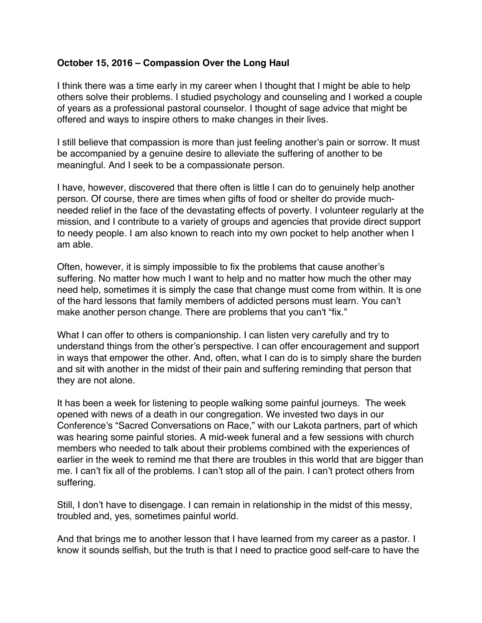# <span id="page-32-0"></span>**October 15, 2016 – Compassion Over the Long Haul**

I think there was a time early in my career when I thought that I might be able to help others solve their problems. I studied psychology and counseling and I worked a couple of years as a professional pastoral counselor. I thought of sage advice that might be offered and ways to inspire others to make changes in their lives.

I still believe that compassion is more than just feeling another's pain or sorrow. It must be accompanied by a genuine desire to alleviate the suffering of another to be meaningful. And I seek to be a compassionate person.

I have, however, discovered that there often is little I can do to genuinely help another person. Of course, there are times when gifts of food or shelter do provide muchneeded relief in the face of the devastating effects of poverty. I volunteer regularly at the mission, and I contribute to a variety of groups and agencies that provide direct support to needy people. I am also known to reach into my own pocket to help another when I am able.

Often, however, it is simply impossible to fix the problems that cause another's suffering. No matter how much I want to help and no matter how much the other may need help, sometimes it is simply the case that change must come from within. It is one of the hard lessons that family members of addicted persons must learn. You can't make another person change. There are problems that you can't "fix."

What I can offer to others is companionship. I can listen very carefully and try to understand things from the other's perspective. I can offer encouragement and support in ways that empower the other. And, often, what I can do is to simply share the burden and sit with another in the midst of their pain and suffering reminding that person that they are not alone.

It has been a week for listening to people walking some painful journeys. The week opened with news of a death in our congregation. We invested two days in our Conference's "Sacred Conversations on Race," with our Lakota partners, part of which was hearing some painful stories. A mid-week funeral and a few sessions with church members who needed to talk about their problems combined with the experiences of earlier in the week to remind me that there are troubles in this world that are bigger than me. I can't fix all of the problems. I can't stop all of the pain. I can't protect others from suffering.

Still, I don't have to disengage. I can remain in relationship in the midst of this messy, troubled and, yes, sometimes painful world.

And that brings me to another lesson that I have learned from my career as a pastor. I know it sounds selfish, but the truth is that I need to practice good self-care to have the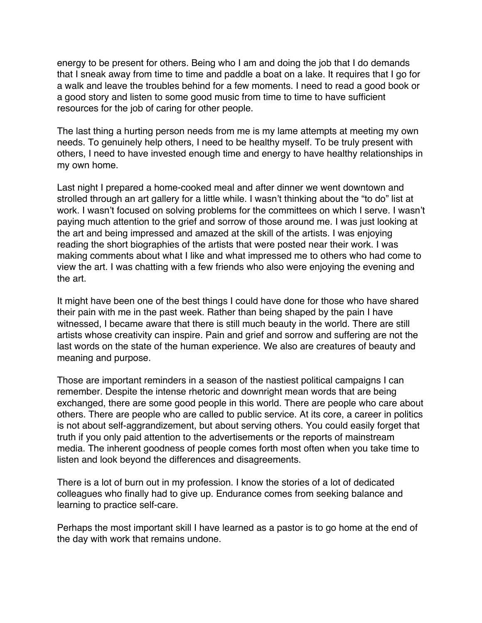energy to be present for others. Being who I am and doing the job that I do demands that I sneak away from time to time and paddle a boat on a lake. It requires that I go for a walk and leave the troubles behind for a few moments. I need to read a good book or a good story and listen to some good music from time to time to have sufficient resources for the job of caring for other people.

The last thing a hurting person needs from me is my lame attempts at meeting my own needs. To genuinely help others, I need to be healthy myself. To be truly present with others, I need to have invested enough time and energy to have healthy relationships in my own home.

Last night I prepared a home-cooked meal and after dinner we went downtown and strolled through an art gallery for a little while. I wasn't thinking about the "to do" list at work. I wasn't focused on solving problems for the committees on which I serve. I wasn't paying much attention to the grief and sorrow of those around me. I was just looking at the art and being impressed and amazed at the skill of the artists. I was enjoying reading the short biographies of the artists that were posted near their work. I was making comments about what I like and what impressed me to others who had come to view the art. I was chatting with a few friends who also were enjoying the evening and the art.

It might have been one of the best things I could have done for those who have shared their pain with me in the past week. Rather than being shaped by the pain I have witnessed, I became aware that there is still much beauty in the world. There are still artists whose creativity can inspire. Pain and grief and sorrow and suffering are not the last words on the state of the human experience. We also are creatures of beauty and meaning and purpose.

Those are important reminders in a season of the nastiest political campaigns I can remember. Despite the intense rhetoric and downright mean words that are being exchanged, there are some good people in this world. There are people who care about others. There are people who are called to public service. At its core, a career in politics is not about self-aggrandizement, but about serving others. You could easily forget that truth if you only paid attention to the advertisements or the reports of mainstream media. The inherent goodness of people comes forth most often when you take time to listen and look beyond the differences and disagreements.

There is a lot of burn out in my profession. I know the stories of a lot of dedicated colleagues who finally had to give up. Endurance comes from seeking balance and learning to practice self-care.

Perhaps the most important skill I have learned as a pastor is to go home at the end of the day with work that remains undone.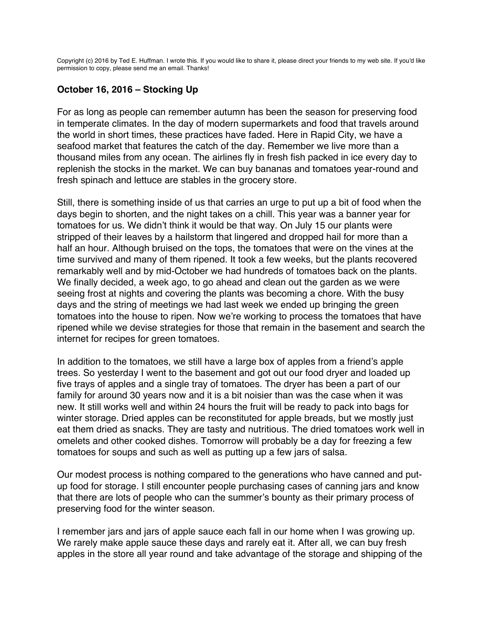<span id="page-34-0"></span>Copyright (c) 2016 by Ted E. Huffman. I wrote this. If you would like to share it, please direct your friends to my web site. If you'd like permission to copy, please send me an email. Thanks!

# **October 16, 2016 – Stocking Up**

For as long as people can remember autumn has been the season for preserving food in temperate climates. In the day of modern supermarkets and food that travels around the world in short times, these practices have faded. Here in Rapid City, we have a seafood market that features the catch of the day. Remember we live more than a thousand miles from any ocean. The airlines fly in fresh fish packed in ice every day to replenish the stocks in the market. We can buy bananas and tomatoes year-round and fresh spinach and lettuce are stables in the grocery store.

Still, there is something inside of us that carries an urge to put up a bit of food when the days begin to shorten, and the night takes on a chill. This year was a banner year for tomatoes for us. We didn't think it would be that way. On July 15 our plants were stripped of their leaves by a hailstorm that lingered and dropped hail for more than a half an hour. Although bruised on the tops, the tomatoes that were on the vines at the time survived and many of them ripened. It took a few weeks, but the plants recovered remarkably well and by mid-October we had hundreds of tomatoes back on the plants. We finally decided, a week ago, to go ahead and clean out the garden as we were seeing frost at nights and covering the plants was becoming a chore. With the busy days and the string of meetings we had last week we ended up bringing the green tomatoes into the house to ripen. Now we're working to process the tomatoes that have ripened while we devise strategies for those that remain in the basement and search the internet for recipes for green tomatoes.

In addition to the tomatoes, we still have a large box of apples from a friend's apple trees. So yesterday I went to the basement and got out our food dryer and loaded up five trays of apples and a single tray of tomatoes. The dryer has been a part of our family for around 30 years now and it is a bit noisier than was the case when it was new. It still works well and within 24 hours the fruit will be ready to pack into bags for winter storage. Dried apples can be reconstituted for apple breads, but we mostly just eat them dried as snacks. They are tasty and nutritious. The dried tomatoes work well in omelets and other cooked dishes. Tomorrow will probably be a day for freezing a few tomatoes for soups and such as well as putting up a few jars of salsa.

Our modest process is nothing compared to the generations who have canned and putup food for storage. I still encounter people purchasing cases of canning jars and know that there are lots of people who can the summer's bounty as their primary process of preserving food for the winter season.

I remember jars and jars of apple sauce each fall in our home when I was growing up. We rarely make apple sauce these days and rarely eat it. After all, we can buy fresh apples in the store all year round and take advantage of the storage and shipping of the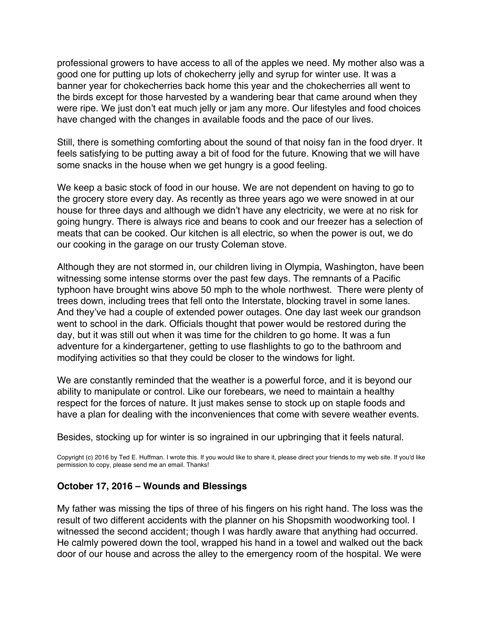professional growers to have access to all of the apples we need. My mother also was a good one for putting up lots of chokecherry jelly and syrup for winter use. It was a banner year for chokecherries back home this year and the chokecherries all went to the birds except for those harvested by a wandering bear that came around when they were ripe. We just don't eat much jelly or jam any more. Our lifestyles and food choices have changed with the changes in available foods and the pace of our lives.

Still, there is something comforting about the sound of that noisy fan in the food dryer. It feels satisfying to be putting away a bit of food for the future. Knowing that we will have some snacks in the house when we get hungry is a good feeling.

We keep a basic stock of food in our house. We are not dependent on having to go to the grocery store every day. As recently as three years ago we were snowed in at our house for three days and although we didn't have any electricity, we were at no risk for going hungry. There is always rice and beans to cook and our freezer has a selection of meats that can be cooked. Our kitchen is all electric, so when the power is out, we do our cooking in the garage on our trusty Coleman stove.

Although they are not stormed in, our children living in Olympia, Washington, have been witnessing some intense storms over the past few days. The remnants of a Pacific typhoon have brought wins above 50 mph to the whole northwest. There were plenty of trees down, including trees that fell onto the Interstate, blocking travel in some lanes. And they've had a couple of extended power outages. One day last week our grandson went to school in the dark. Officials thought that power would be restored during the day, but it was still out when it was time for the children to go home. It was a fun adventure for a kindergartener, getting to use flashlights to go to the bathroom and modifying activities so that they could be closer to the windows for light.

We are constantly reminded that the weather is a powerful force, and it is beyond our ability to manipulate or control. Like our forebears, we need to maintain a healthy respect for the forces of nature. It just makes sense to stock up on staple foods and have a plan for dealing with the inconveniences that come with severe weather events.

Besides, stocking up for winter is so ingrained in our upbringing that it feels natural.

Copyright (c) 2016 by Ted E. Huffman. I wrote this. If you would like to share it, please direct your friends to my web site. If you'd like permission to copy, please send me an email. Thanks!

#### **October 17, 2016 – Wounds and Blessings**

My father was missing the tips of three of his fingers on his right hand. The loss was the result of two different accidents with the planner on his Shopsmith woodworking tool. I witnessed the second accident; though I was hardly aware that anything had occurred. He calmly powered down the tool, wrapped his hand in a towel and walked out the back door of our house and across the alley to the emergency room of the hospital. We were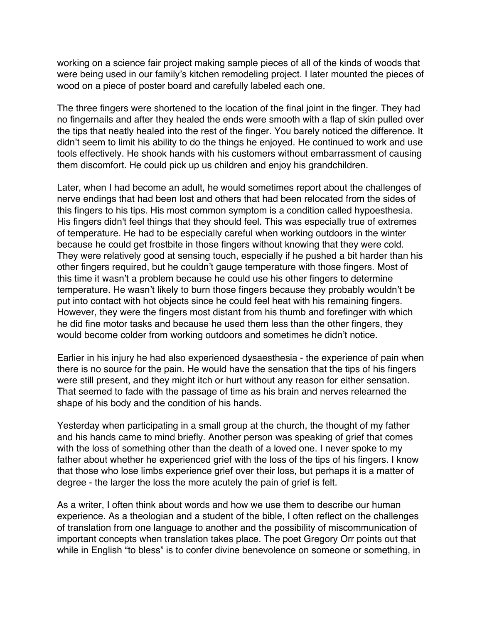<span id="page-36-0"></span>working on a science fair project making sample pieces of all of the kinds of woods that were being used in our family's kitchen remodeling project. I later mounted the pieces of wood on a piece of poster board and carefully labeled each one.

The three fingers were shortened to the location of the final joint in the finger. They had no fingernails and after they healed the ends were smooth with a flap of skin pulled over the tips that neatly healed into the rest of the finger. You barely noticed the difference. It didn't seem to limit his ability to do the things he enjoyed. He continued to work and use tools effectively. He shook hands with his customers without embarrassment of causing them discomfort. He could pick up us children and enjoy his grandchildren.

Later, when I had become an adult, he would sometimes report about the challenges of nerve endings that had been lost and others that had been relocated from the sides of this fingers to his tips. His most common symptom is a condition called hypoesthesia. His fingers didn't feel things that they should feel. This was especially true of extremes of temperature. He had to be especially careful when working outdoors in the winter because he could get frostbite in those fingers without knowing that they were cold. They were relatively good at sensing touch, especially if he pushed a bit harder than his other fingers required, but he couldn't gauge temperature with those fingers. Most of this time it wasn't a problem because he could use his other fingers to determine temperature. He wasn't likely to burn those fingers because they probably wouldn't be put into contact with hot objects since he could feel heat with his remaining fingers. However, they were the fingers most distant from his thumb and forefinger with which he did fine motor tasks and because he used them less than the other fingers, they would become colder from working outdoors and sometimes he didn't notice.

Earlier in his injury he had also experienced dysaesthesia - the experience of pain when there is no source for the pain. He would have the sensation that the tips of his fingers were still present, and they might itch or hurt without any reason for either sensation. That seemed to fade with the passage of time as his brain and nerves relearned the shape of his body and the condition of his hands.

Yesterday when participating in a small group at the church, the thought of my father and his hands came to mind briefly. Another person was speaking of grief that comes with the loss of something other than the death of a loved one. I never spoke to my father about whether he experienced grief with the loss of the tips of his fingers. I know that those who lose limbs experience grief over their loss, but perhaps it is a matter of degree - the larger the loss the more acutely the pain of grief is felt.

As a writer, I often think about words and how we use them to describe our human experience. As a theologian and a student of the bible, I often reflect on the challenges of translation from one language to another and the possibility of miscommunication of important concepts when translation takes place. The poet Gregory Orr points out that while in English "to bless" is to confer divine benevolence on someone or something, in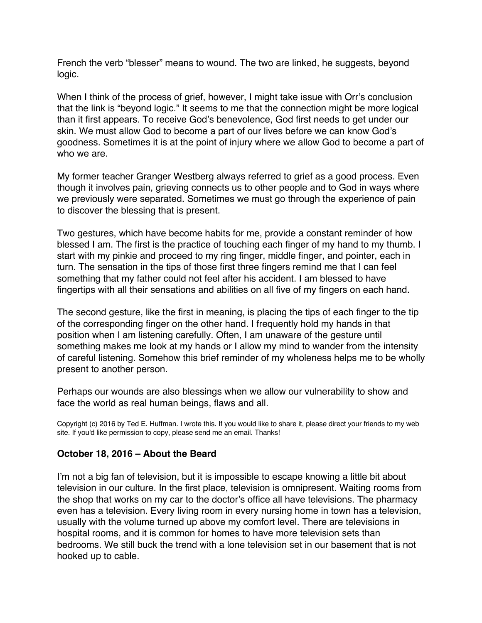<span id="page-37-0"></span>French the verb "blesser" means to wound. The two are linked, he suggests, beyond logic.

When I think of the process of grief, however, I might take issue with Orr's conclusion that the link is "beyond logic." It seems to me that the connection might be more logical than it first appears. To receive God's benevolence, God first needs to get under our skin. We must allow God to become a part of our lives before we can know God's goodness. Sometimes it is at the point of injury where we allow God to become a part of who we are.

My former teacher Granger Westberg always referred to grief as a good process. Even though it involves pain, grieving connects us to other people and to God in ways where we previously were separated. Sometimes we must go through the experience of pain to discover the blessing that is present.

Two gestures, which have become habits for me, provide a constant reminder of how blessed I am. The first is the practice of touching each finger of my hand to my thumb. I start with my pinkie and proceed to my ring finger, middle finger, and pointer, each in turn. The sensation in the tips of those first three fingers remind me that I can feel something that my father could not feel after his accident. I am blessed to have fingertips with all their sensations and abilities on all five of my fingers on each hand.

The second gesture, like the first in meaning, is placing the tips of each finger to the tip of the corresponding finger on the other hand. I frequently hold my hands in that position when I am listening carefully. Often, I am unaware of the gesture until something makes me look at my hands or I allow my mind to wander from the intensity of careful listening. Somehow this brief reminder of my wholeness helps me to be wholly present to another person.

Perhaps our wounds are also blessings when we allow our vulnerability to show and face the world as real human beings, flaws and all.

Copyright (c) 2016 by Ted E. Huffman. I wrote this. If you would like to share it, please direct your friends to my web site. If you'd like permission to copy, please send me an email. Thanks!

## **October 18, 2016 – About the Beard**

I'm not a big fan of television, but it is impossible to escape knowing a little bit about television in our culture. In the first place, television is omnipresent. Waiting rooms from the shop that works on my car to the doctor's office all have televisions. The pharmacy even has a television. Every living room in every nursing home in town has a television, usually with the volume turned up above my comfort level. There are televisions in hospital rooms, and it is common for homes to have more television sets than bedrooms. We still buck the trend with a lone television set in our basement that is not hooked up to cable.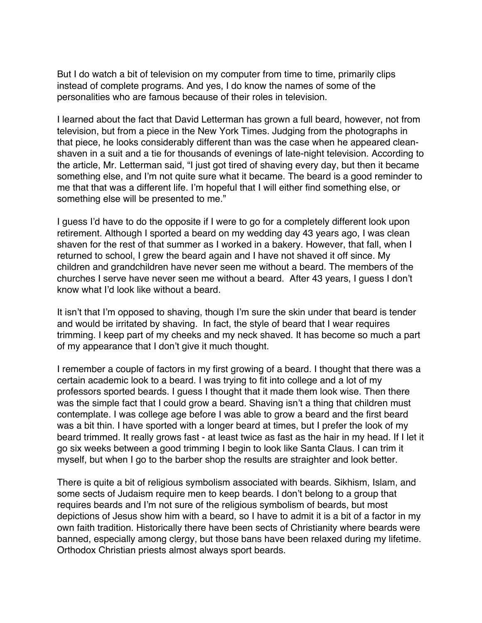But I do watch a bit of television on my computer from time to time, primarily clips instead of complete programs. And yes, I do know the names of some of the personalities who are famous because of their roles in television.

I learned about the fact that David Letterman has grown a full beard, however, not from television, but from a piece in the New York Times. Judging from the photographs in that piece, he looks considerably different than was the case when he appeared cleanshaven in a suit and a tie for thousands of evenings of late-night television. According to the article, Mr. Letterman said, "I just got tired of shaving every day, but then it became something else, and I'm not quite sure what it became. The beard is a good reminder to me that that was a different life. I'm hopeful that I will either find something else, or something else will be presented to me."

I guess I'd have to do the opposite if I were to go for a completely different look upon retirement. Although I sported a beard on my wedding day 43 years ago, I was clean shaven for the rest of that summer as I worked in a bakery. However, that fall, when I returned to school, I grew the beard again and I have not shaved it off since. My children and grandchildren have never seen me without a beard. The members of the churches I serve have never seen me without a beard. After 43 years, I guess I don't know what I'd look like without a beard.

It isn't that I'm opposed to shaving, though I'm sure the skin under that beard is tender and would be irritated by shaving. In fact, the style of beard that I wear requires trimming. I keep part of my cheeks and my neck shaved. It has become so much a part of my appearance that I don't give it much thought.

I remember a couple of factors in my first growing of a beard. I thought that there was a certain academic look to a beard. I was trying to fit into college and a lot of my professors sported beards. I guess I thought that it made them look wise. Then there was the simple fact that I could grow a beard. Shaving isn't a thing that children must contemplate. I was college age before I was able to grow a beard and the first beard was a bit thin. I have sported with a longer beard at times, but I prefer the look of my beard trimmed. It really grows fast - at least twice as fast as the hair in my head. If I let it go six weeks between a good trimming I begin to look like Santa Claus. I can trim it myself, but when I go to the barber shop the results are straighter and look better.

There is quite a bit of religious symbolism associated with beards. Sikhism, Islam, and some sects of Judaism require men to keep beards. I don't belong to a group that requires beards and I'm not sure of the religious symbolism of beards, but most depictions of Jesus show him with a beard, so I have to admit it is a bit of a factor in my own faith tradition. Historically there have been sects of Christianity where beards were banned, especially among clergy, but those bans have been relaxed during my lifetime. Orthodox Christian priests almost always sport beards.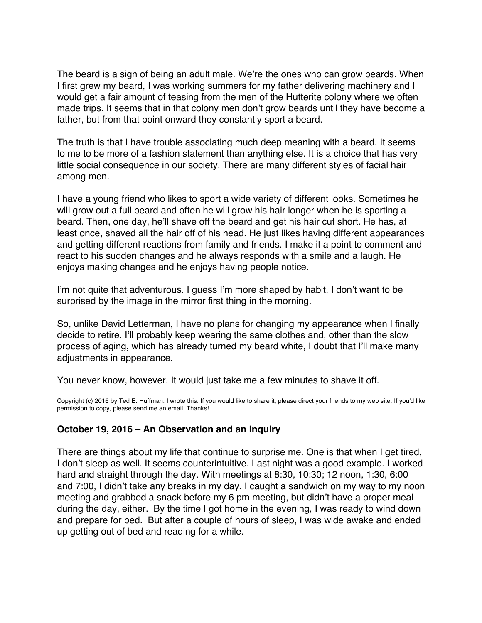<span id="page-39-0"></span>The beard is a sign of being an adult male. We're the ones who can grow beards. When I first grew my beard, I was working summers for my father delivering machinery and I would get a fair amount of teasing from the men of the Hutterite colony where we often made trips. It seems that in that colony men don't grow beards until they have become a father, but from that point onward they constantly sport a beard.

The truth is that I have trouble associating much deep meaning with a beard. It seems to me to be more of a fashion statement than anything else. It is a choice that has very little social consequence in our society. There are many different styles of facial hair among men.

I have a young friend who likes to sport a wide variety of different looks. Sometimes he will grow out a full beard and often he will grow his hair longer when he is sporting a beard. Then, one day, he'll shave off the beard and get his hair cut short. He has, at least once, shaved all the hair off of his head. He just likes having different appearances and getting different reactions from family and friends. I make it a point to comment and react to his sudden changes and he always responds with a smile and a laugh. He enjoys making changes and he enjoys having people notice.

I'm not quite that adventurous. I guess I'm more shaped by habit. I don't want to be surprised by the image in the mirror first thing in the morning.

So, unlike David Letterman, I have no plans for changing my appearance when I finally decide to retire. I'll probably keep wearing the same clothes and, other than the slow process of aging, which has already turned my beard white, I doubt that I'll make many adjustments in appearance.

You never know, however. It would just take me a few minutes to shave it off.

Copyright (c) 2016 by Ted E. Huffman. I wrote this. If you would like to share it, please direct your friends to my web site. If you'd like permission to copy, please send me an email. Thanks!

## **October 19, 2016 – An Observation and an Inquiry**

There are things about my life that continue to surprise me. One is that when I get tired, I don't sleep as well. It seems counterintuitive. Last night was a good example. I worked hard and straight through the day. With meetings at 8:30, 10:30; 12 noon, 1:30, 6:00 and 7:00, I didn't take any breaks in my day. I caught a sandwich on my way to my noon meeting and grabbed a snack before my 6 pm meeting, but didn't have a proper meal during the day, either. By the time I got home in the evening, I was ready to wind down and prepare for bed. But after a couple of hours of sleep, I was wide awake and ended up getting out of bed and reading for a while.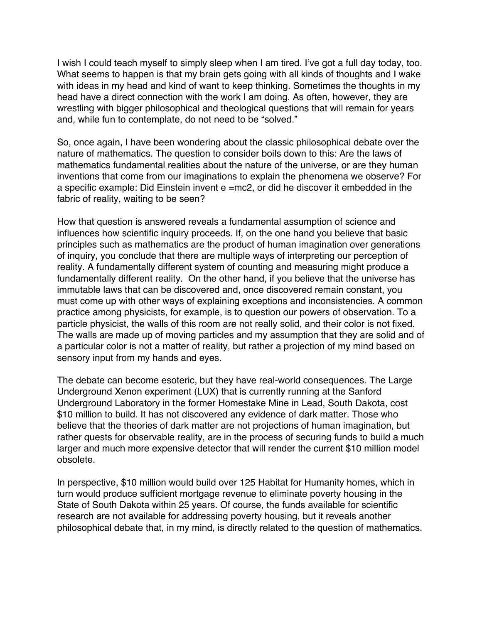I wish I could teach myself to simply sleep when I am tired. I've got a full day today, too. What seems to happen is that my brain gets going with all kinds of thoughts and I wake with ideas in my head and kind of want to keep thinking. Sometimes the thoughts in my head have a direct connection with the work I am doing. As often, however, they are wrestling with bigger philosophical and theological questions that will remain for years and, while fun to contemplate, do not need to be "solved."

So, once again, I have been wondering about the classic philosophical debate over the nature of mathematics. The question to consider boils down to this: Are the laws of mathematics fundamental realities about the nature of the universe, or are they human inventions that come from our imaginations to explain the phenomena we observe? For a specific example: Did Einstein invent e =mc2, or did he discover it embedded in the fabric of reality, waiting to be seen?

How that question is answered reveals a fundamental assumption of science and influences how scientific inquiry proceeds. If, on the one hand you believe that basic principles such as mathematics are the product of human imagination over generations of inquiry, you conclude that there are multiple ways of interpreting our perception of reality. A fundamentally different system of counting and measuring might produce a fundamentally different reality. On the other hand, if you believe that the universe has immutable laws that can be discovered and, once discovered remain constant, you must come up with other ways of explaining exceptions and inconsistencies. A common practice among physicists, for example, is to question our powers of observation. To a particle physicist, the walls of this room are not really solid, and their color is not fixed. The walls are made up of moving particles and my assumption that they are solid and of a particular color is not a matter of reality, but rather a projection of my mind based on sensory input from my hands and eyes.

The debate can become esoteric, but they have real-world consequences. The Large Underground Xenon experiment (LUX) that is currently running at the Sanford Underground Laboratory in the former Homestake Mine in Lead, South Dakota, cost \$10 million to build. It has not discovered any evidence of dark matter. Those who believe that the theories of dark matter are not projections of human imagination, but rather quests for observable reality, are in the process of securing funds to build a much larger and much more expensive detector that will render the current \$10 million model obsolete.

In perspective, \$10 million would build over 125 Habitat for Humanity homes, which in turn would produce sufficient mortgage revenue to eliminate poverty housing in the State of South Dakota within 25 years. Of course, the funds available for scientific research are not available for addressing poverty housing, but it reveals another philosophical debate that, in my mind, is directly related to the question of mathematics.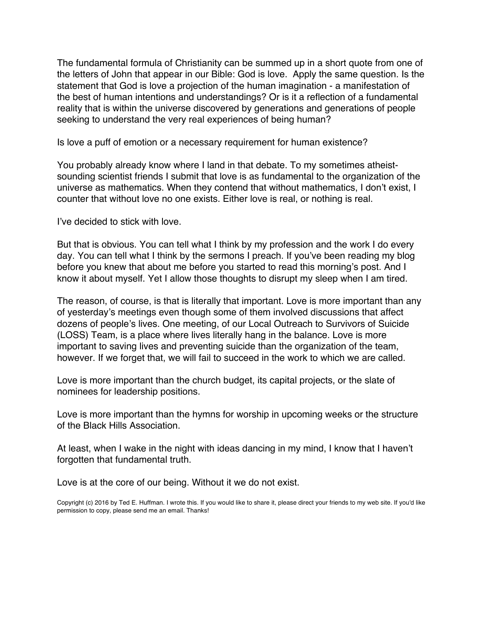The fundamental formula of Christianity can be summed up in a short quote from one of the letters of John that appear in our Bible: God is love. Apply the same question. Is the statement that God is love a projection of the human imagination - a manifestation of the best of human intentions and understandings? Or is it a reflection of a fundamental reality that is within the universe discovered by generations and generations of people seeking to understand the very real experiences of being human?

Is love a puff of emotion or a necessary requirement for human existence?

You probably already know where I land in that debate. To my sometimes atheistsounding scientist friends I submit that love is as fundamental to the organization of the universe as mathematics. When they contend that without mathematics, I don't exist, I counter that without love no one exists. Either love is real, or nothing is real.

I've decided to stick with love.

But that is obvious. You can tell what I think by my profession and the work I do every day. You can tell what I think by the sermons I preach. If you've been reading my blog before you knew that about me before you started to read this morning's post. And I know it about myself. Yet I allow those thoughts to disrupt my sleep when I am tired.

The reason, of course, is that is literally that important. Love is more important than any of yesterday's meetings even though some of them involved discussions that affect dozens of people's lives. One meeting, of our Local Outreach to Survivors of Suicide (LOSS) Team, is a place where lives literally hang in the balance. Love is more important to saving lives and preventing suicide than the organization of the team, however. If we forget that, we will fail to succeed in the work to which we are called.

Love is more important than the church budget, its capital projects, or the slate of nominees for leadership positions.

Love is more important than the hymns for worship in upcoming weeks or the structure of the Black Hills Association.

At least, when I wake in the night with ideas dancing in my mind, I know that I haven't forgotten that fundamental truth.

Love is at the core of our being. Without it we do not exist.

Copyright (c) 2016 by Ted E. Huffman. I wrote this. If you would like to share it, please direct your friends to my web site. If you'd like permission to copy, please send me an email. Thanks!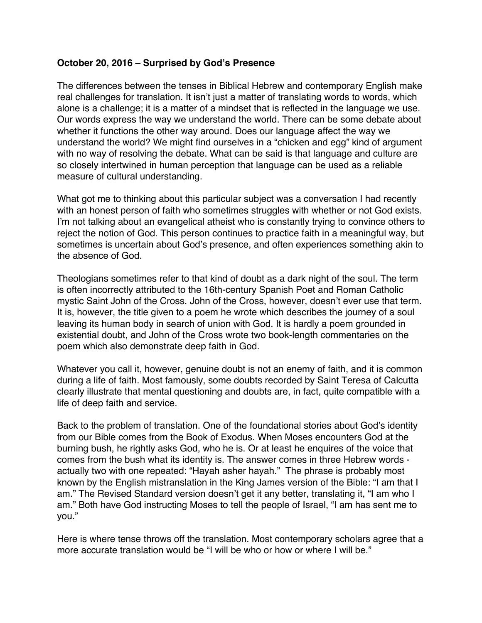# <span id="page-42-0"></span>**October 20, 2016 – Surprised by God's Presence**

The differences between the tenses in Biblical Hebrew and contemporary English make real challenges for translation. It isn't just a matter of translating words to words, which alone is a challenge; it is a matter of a mindset that is reflected in the language we use. Our words express the way we understand the world. There can be some debate about whether it functions the other way around. Does our language affect the way we understand the world? We might find ourselves in a "chicken and egg" kind of argument with no way of resolving the debate. What can be said is that language and culture are so closely intertwined in human perception that language can be used as a reliable measure of cultural understanding.

What got me to thinking about this particular subject was a conversation I had recently with an honest person of faith who sometimes struggles with whether or not God exists. I'm not talking about an evangelical atheist who is constantly trying to convince others to reject the notion of God. This person continues to practice faith in a meaningful way, but sometimes is uncertain about God's presence, and often experiences something akin to the absence of God.

Theologians sometimes refer to that kind of doubt as a dark night of the soul. The term is often incorrectly attributed to the 16th-century Spanish Poet and Roman Catholic mystic Saint John of the Cross. John of the Cross, however, doesn't ever use that term. It is, however, the title given to a poem he wrote which describes the journey of a soul leaving its human body in search of union with God. It is hardly a poem grounded in existential doubt, and John of the Cross wrote two book-length commentaries on the poem which also demonstrate deep faith in God.

Whatever you call it, however, genuine doubt is not an enemy of faith, and it is common during a life of faith. Most famously, some doubts recorded by Saint Teresa of Calcutta clearly illustrate that mental questioning and doubts are, in fact, quite compatible with a life of deep faith and service.

Back to the problem of translation. One of the foundational stories about God's identity from our Bible comes from the Book of Exodus. When Moses encounters God at the burning bush, he rightly asks God, who he is. Or at least he enquires of the voice that comes from the bush what its identity is. The answer comes in three Hebrew words actually two with one repeated: "Hayah asher hayah." The phrase is probably most known by the English mistranslation in the King James version of the Bible: "I am that I am." The Revised Standard version doesn't get it any better, translating it, "I am who I am." Both have God instructing Moses to tell the people of Israel, "I am has sent me to you."

Here is where tense throws off the translation. Most contemporary scholars agree that a more accurate translation would be "I will be who or how or where I will be."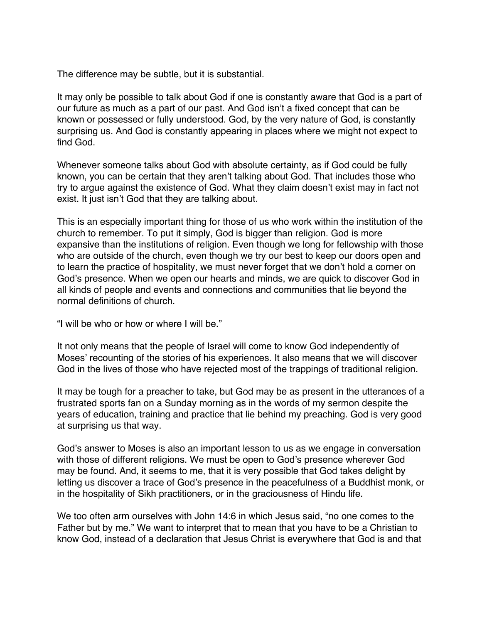The difference may be subtle, but it is substantial.

It may only be possible to talk about God if one is constantly aware that God is a part of our future as much as a part of our past. And God isn't a fixed concept that can be known or possessed or fully understood. God, by the very nature of God, is constantly surprising us. And God is constantly appearing in places where we might not expect to find God.

Whenever someone talks about God with absolute certainty, as if God could be fully known, you can be certain that they aren't talking about God. That includes those who try to argue against the existence of God. What they claim doesn't exist may in fact not exist. It just isn't God that they are talking about.

This is an especially important thing for those of us who work within the institution of the church to remember. To put it simply, God is bigger than religion. God is more expansive than the institutions of religion. Even though we long for fellowship with those who are outside of the church, even though we try our best to keep our doors open and to learn the practice of hospitality, we must never forget that we don't hold a corner on God's presence. When we open our hearts and minds, we are quick to discover God in all kinds of people and events and connections and communities that lie beyond the normal definitions of church.

"I will be who or how or where I will be."

It not only means that the people of Israel will come to know God independently of Moses' recounting of the stories of his experiences. It also means that we will discover God in the lives of those who have rejected most of the trappings of traditional religion.

It may be tough for a preacher to take, but God may be as present in the utterances of a frustrated sports fan on a Sunday morning as in the words of my sermon despite the years of education, training and practice that lie behind my preaching. God is very good at surprising us that way.

God's answer to Moses is also an important lesson to us as we engage in conversation with those of different religions. We must be open to God's presence wherever God may be found. And, it seems to me, that it is very possible that God takes delight by letting us discover a trace of God's presence in the peacefulness of a Buddhist monk, or in the hospitality of Sikh practitioners, or in the graciousness of Hindu life.

We too often arm ourselves with John 14:6 in which Jesus said, "no one comes to the Father but by me." We want to interpret that to mean that you have to be a Christian to know God, instead of a declaration that Jesus Christ is everywhere that God is and that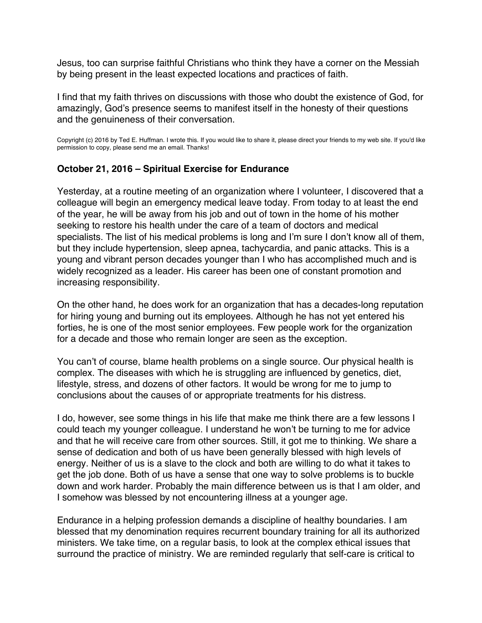<span id="page-44-0"></span>Jesus, too can surprise faithful Christians who think they have a corner on the Messiah by being present in the least expected locations and practices of faith.

I find that my faith thrives on discussions with those who doubt the existence of God, for amazingly, God's presence seems to manifest itself in the honesty of their questions and the genuineness of their conversation.

Copyright (c) 2016 by Ted E. Huffman. I wrote this. If you would like to share it, please direct your friends to my web site. If you'd like permission to copy, please send me an email. Thanks!

# **October 21, 2016 – Spiritual Exercise for Endurance**

Yesterday, at a routine meeting of an organization where I volunteer, I discovered that a colleague will begin an emergency medical leave today. From today to at least the end of the year, he will be away from his job and out of town in the home of his mother seeking to restore his health under the care of a team of doctors and medical specialists. The list of his medical problems is long and I'm sure I don't know all of them, but they include hypertension, sleep apnea, tachycardia, and panic attacks. This is a young and vibrant person decades younger than I who has accomplished much and is widely recognized as a leader. His career has been one of constant promotion and increasing responsibility.

On the other hand, he does work for an organization that has a decades-long reputation for hiring young and burning out its employees. Although he has not yet entered his forties, he is one of the most senior employees. Few people work for the organization for a decade and those who remain longer are seen as the exception.

You can't of course, blame health problems on a single source. Our physical health is complex. The diseases with which he is struggling are influenced by genetics, diet, lifestyle, stress, and dozens of other factors. It would be wrong for me to jump to conclusions about the causes of or appropriate treatments for his distress.

I do, however, see some things in his life that make me think there are a few lessons I could teach my younger colleague. I understand he won't be turning to me for advice and that he will receive care from other sources. Still, it got me to thinking. We share a sense of dedication and both of us have been generally blessed with high levels of energy. Neither of us is a slave to the clock and both are willing to do what it takes to get the job done. Both of us have a sense that one way to solve problems is to buckle down and work harder. Probably the main difference between us is that I am older, and I somehow was blessed by not encountering illness at a younger age.

Endurance in a helping profession demands a discipline of healthy boundaries. I am blessed that my denomination requires recurrent boundary training for all its authorized ministers. We take time, on a regular basis, to look at the complex ethical issues that surround the practice of ministry. We are reminded regularly that self-care is critical to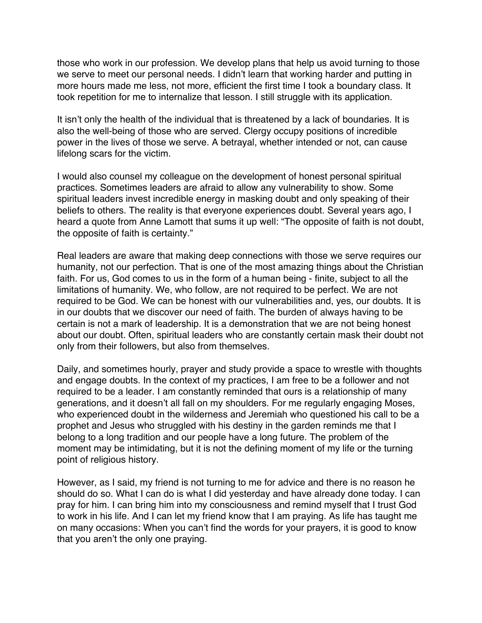those who work in our profession. We develop plans that help us avoid turning to those we serve to meet our personal needs. I didn't learn that working harder and putting in more hours made me less, not more, efficient the first time I took a boundary class. It took repetition for me to internalize that lesson. I still struggle with its application.

It isn't only the health of the individual that is threatened by a lack of boundaries. It is also the well-being of those who are served. Clergy occupy positions of incredible power in the lives of those we serve. A betrayal, whether intended or not, can cause lifelong scars for the victim.

I would also counsel my colleague on the development of honest personal spiritual practices. Sometimes leaders are afraid to allow any vulnerability to show. Some spiritual leaders invest incredible energy in masking doubt and only speaking of their beliefs to others. The reality is that everyone experiences doubt. Several years ago, I heard a quote from Anne Lamott that sums it up well: "The opposite of faith is not doubt, the opposite of faith is certainty."

Real leaders are aware that making deep connections with those we serve requires our humanity, not our perfection. That is one of the most amazing things about the Christian faith. For us, God comes to us in the form of a human being - finite, subject to all the limitations of humanity. We, who follow, are not required to be perfect. We are not required to be God. We can be honest with our vulnerabilities and, yes, our doubts. It is in our doubts that we discover our need of faith. The burden of always having to be certain is not a mark of leadership. It is a demonstration that we are not being honest about our doubt. Often, spiritual leaders who are constantly certain mask their doubt not only from their followers, but also from themselves.

Daily, and sometimes hourly, prayer and study provide a space to wrestle with thoughts and engage doubts. In the context of my practices, I am free to be a follower and not required to be a leader. I am constantly reminded that ours is a relationship of many generations, and it doesn't all fall on my shoulders. For me regularly engaging Moses, who experienced doubt in the wilderness and Jeremiah who questioned his call to be a prophet and Jesus who struggled with his destiny in the garden reminds me that I belong to a long tradition and our people have a long future. The problem of the moment may be intimidating, but it is not the defining moment of my life or the turning point of religious history.

However, as I said, my friend is not turning to me for advice and there is no reason he should do so. What I can do is what I did yesterday and have already done today. I can pray for him. I can bring him into my consciousness and remind myself that I trust God to work in his life. And I can let my friend know that I am praying. As life has taught me on many occasions: When you can't find the words for your prayers, it is good to know that you aren't the only one praying.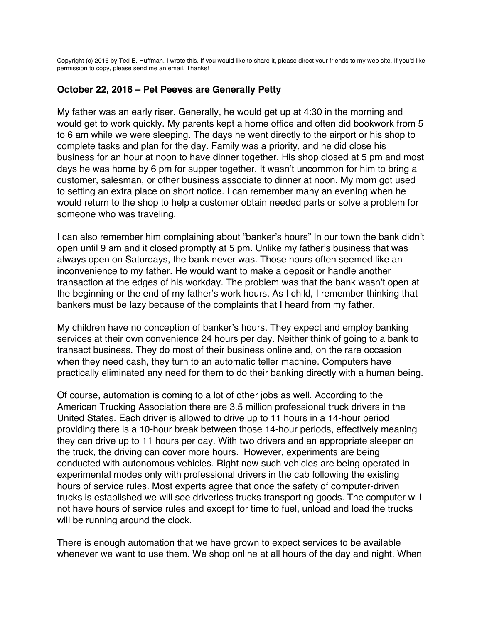<span id="page-46-0"></span>Copyright (c) 2016 by Ted E. Huffman. I wrote this. If you would like to share it, please direct your friends to my web site. If you'd like permission to copy, please send me an email. Thanks!

## **October 22, 2016 – Pet Peeves are Generally Petty**

My father was an early riser. Generally, he would get up at 4:30 in the morning and would get to work quickly. My parents kept a home office and often did bookwork from 5 to 6 am while we were sleeping. The days he went directly to the airport or his shop to complete tasks and plan for the day. Family was a priority, and he did close his business for an hour at noon to have dinner together. His shop closed at 5 pm and most days he was home by 6 pm for supper together. It wasn't uncommon for him to bring a customer, salesman, or other business associate to dinner at noon. My mom got used to setting an extra place on short notice. I can remember many an evening when he would return to the shop to help a customer obtain needed parts or solve a problem for someone who was traveling.

I can also remember him complaining about "banker's hours" In our town the bank didn't open until 9 am and it closed promptly at 5 pm. Unlike my father's business that was always open on Saturdays, the bank never was. Those hours often seemed like an inconvenience to my father. He would want to make a deposit or handle another transaction at the edges of his workday. The problem was that the bank wasn't open at the beginning or the end of my father's work hours. As I child, I remember thinking that bankers must be lazy because of the complaints that I heard from my father.

My children have no conception of banker's hours. They expect and employ banking services at their own convenience 24 hours per day. Neither think of going to a bank to transact business. They do most of their business online and, on the rare occasion when they need cash, they turn to an automatic teller machine. Computers have practically eliminated any need for them to do their banking directly with a human being.

Of course, automation is coming to a lot of other jobs as well. According to the American Trucking Association there are 3.5 million professional truck drivers in the United States. Each driver is allowed to drive up to 11 hours in a 14-hour period providing there is a 10-hour break between those 14-hour periods, effectively meaning they can drive up to 11 hours per day. With two drivers and an appropriate sleeper on the truck, the driving can cover more hours. However, experiments are being conducted with autonomous vehicles. Right now such vehicles are being operated in experimental modes only with professional drivers in the cab following the existing hours of service rules. Most experts agree that once the safety of computer-driven trucks is established we will see driverless trucks transporting goods. The computer will not have hours of service rules and except for time to fuel, unload and load the trucks will be running around the clock.

There is enough automation that we have grown to expect services to be available whenever we want to use them. We shop online at all hours of the day and night. When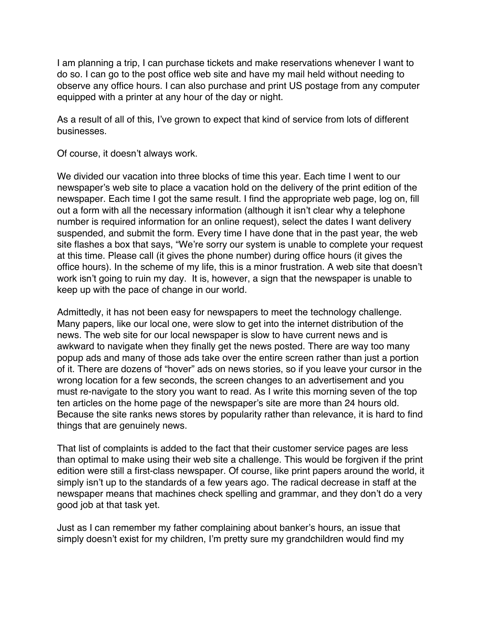I am planning a trip, I can purchase tickets and make reservations whenever I want to do so. I can go to the post office web site and have my mail held without needing to observe any office hours. I can also purchase and print US postage from any computer equipped with a printer at any hour of the day or night.

As a result of all of this, I've grown to expect that kind of service from lots of different businesses.

Of course, it doesn't always work.

We divided our vacation into three blocks of time this year. Each time I went to our newspaper's web site to place a vacation hold on the delivery of the print edition of the newspaper. Each time I got the same result. I find the appropriate web page, log on, fill out a form with all the necessary information (although it isn't clear why a telephone number is required information for an online request), select the dates I want delivery suspended, and submit the form. Every time I have done that in the past year, the web site flashes a box that says, "We're sorry our system is unable to complete your request at this time. Please call (it gives the phone number) during office hours (it gives the office hours). In the scheme of my life, this is a minor frustration. A web site that doesn't work isn't going to ruin my day. It is, however, a sign that the newspaper is unable to keep up with the pace of change in our world.

Admittedly, it has not been easy for newspapers to meet the technology challenge. Many papers, like our local one, were slow to get into the internet distribution of the news. The web site for our local newspaper is slow to have current news and is awkward to navigate when they finally get the news posted. There are way too many popup ads and many of those ads take over the entire screen rather than just a portion of it. There are dozens of "hover" ads on news stories, so if you leave your cursor in the wrong location for a few seconds, the screen changes to an advertisement and you must re-navigate to the story you want to read. As I write this morning seven of the top ten articles on the home page of the newspaper's site are more than 24 hours old. Because the site ranks news stores by popularity rather than relevance, it is hard to find things that are genuinely news.

That list of complaints is added to the fact that their customer service pages are less than optimal to make using their web site a challenge. This would be forgiven if the print edition were still a first-class newspaper. Of course, like print papers around the world, it simply isn't up to the standards of a few years ago. The radical decrease in staff at the newspaper means that machines check spelling and grammar, and they don't do a very good job at that task yet.

Just as I can remember my father complaining about banker's hours, an issue that simply doesn't exist for my children, I'm pretty sure my grandchildren would find my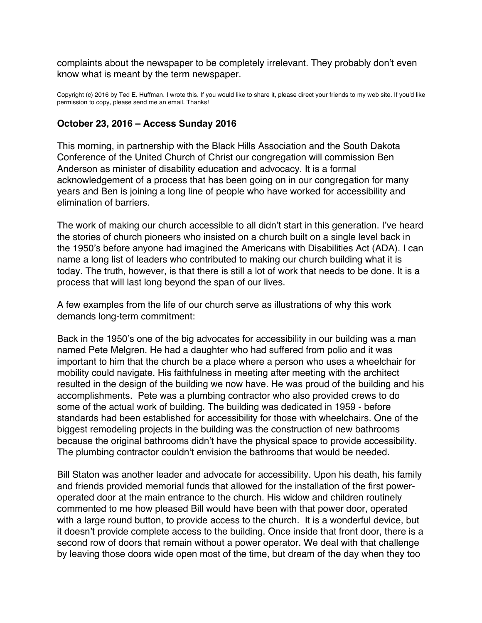<span id="page-48-0"></span>complaints about the newspaper to be completely irrelevant. They probably don't even know what is meant by the term newspaper.

Copyright (c) 2016 by Ted E. Huffman. I wrote this. If you would like to share it, please direct your friends to my web site. If you'd like permission to copy, please send me an email. Thanks!

#### **October 23, 2016 – Access Sunday 2016**

This morning, in partnership with the Black Hills Association and the South Dakota Conference of the United Church of Christ our congregation will commission Ben Anderson as minister of disability education and advocacy. It is a formal acknowledgement of a process that has been going on in our congregation for many years and Ben is joining a long line of people who have worked for accessibility and elimination of barriers.

The work of making our church accessible to all didn't start in this generation. I've heard the stories of church pioneers who insisted on a church built on a single level back in the 1950's before anyone had imagined the Americans with Disabilities Act (ADA). I can name a long list of leaders who contributed to making our church building what it is today. The truth, however, is that there is still a lot of work that needs to be done. It is a process that will last long beyond the span of our lives.

A few examples from the life of our church serve as illustrations of why this work demands long-term commitment:

Back in the 1950's one of the big advocates for accessibility in our building was a man named Pete Melgren. He had a daughter who had suffered from polio and it was important to him that the church be a place where a person who uses a wheelchair for mobility could navigate. His faithfulness in meeting after meeting with the architect resulted in the design of the building we now have. He was proud of the building and his accomplishments. Pete was a plumbing contractor who also provided crews to do some of the actual work of building. The building was dedicated in 1959 - before standards had been established for accessibility for those with wheelchairs. One of the biggest remodeling projects in the building was the construction of new bathrooms because the original bathrooms didn't have the physical space to provide accessibility. The plumbing contractor couldn't envision the bathrooms that would be needed.

Bill Staton was another leader and advocate for accessibility. Upon his death, his family and friends provided memorial funds that allowed for the installation of the first poweroperated door at the main entrance to the church. His widow and children routinely commented to me how pleased Bill would have been with that power door, operated with a large round button, to provide access to the church. It is a wonderful device, but it doesn't provide complete access to the building. Once inside that front door, there is a second row of doors that remain without a power operator. We deal with that challenge by leaving those doors wide open most of the time, but dream of the day when they too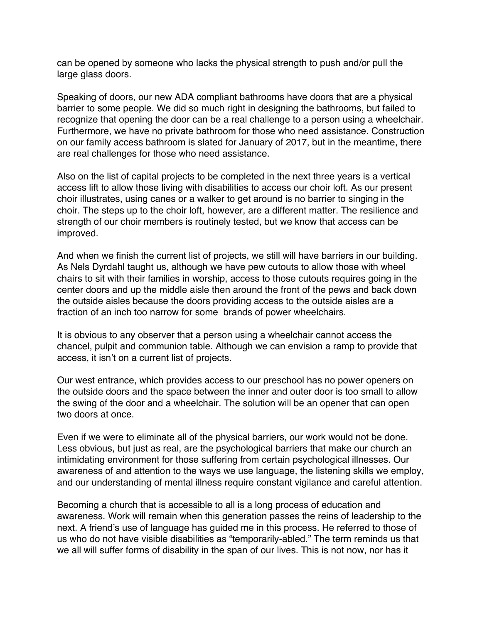can be opened by someone who lacks the physical strength to push and/or pull the large glass doors.

Speaking of doors, our new ADA compliant bathrooms have doors that are a physical barrier to some people. We did so much right in designing the bathrooms, but failed to recognize that opening the door can be a real challenge to a person using a wheelchair. Furthermore, we have no private bathroom for those who need assistance. Construction on our family access bathroom is slated for January of 2017, but in the meantime, there are real challenges for those who need assistance.

Also on the list of capital projects to be completed in the next three years is a vertical access lift to allow those living with disabilities to access our choir loft. As our present choir illustrates, using canes or a walker to get around is no barrier to singing in the choir. The steps up to the choir loft, however, are a different matter. The resilience and strength of our choir members is routinely tested, but we know that access can be improved.

And when we finish the current list of projects, we still will have barriers in our building. As Nels Dyrdahl taught us, although we have pew cutouts to allow those with wheel chairs to sit with their families in worship, access to those cutouts requires going in the center doors and up the middle aisle then around the front of the pews and back down the outside aisles because the doors providing access to the outside aisles are a fraction of an inch too narrow for some brands of power wheelchairs.

It is obvious to any observer that a person using a wheelchair cannot access the chancel, pulpit and communion table. Although we can envision a ramp to provide that access, it isn't on a current list of projects.

Our west entrance, which provides access to our preschool has no power openers on the outside doors and the space between the inner and outer door is too small to allow the swing of the door and a wheelchair. The solution will be an opener that can open two doors at once.

Even if we were to eliminate all of the physical barriers, our work would not be done. Less obvious, but just as real, are the psychological barriers that make our church an intimidating environment for those suffering from certain psychological illnesses. Our awareness of and attention to the ways we use language, the listening skills we employ, and our understanding of mental illness require constant vigilance and careful attention.

Becoming a church that is accessible to all is a long process of education and awareness. Work will remain when this generation passes the reins of leadership to the next. A friend's use of language has guided me in this process. He referred to those of us who do not have visible disabilities as "temporarily-abled." The term reminds us that we all will suffer forms of disability in the span of our lives. This is not now, nor has it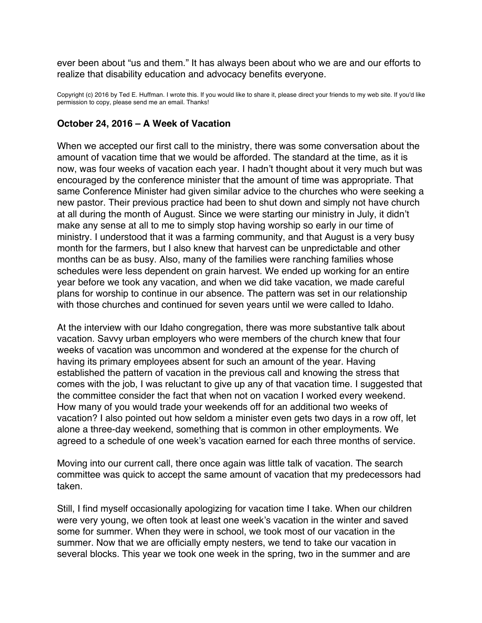<span id="page-50-0"></span>ever been about "us and them." It has always been about who we are and our efforts to realize that disability education and advocacy benefits everyone.

Copyright (c) 2016 by Ted E. Huffman. I wrote this. If you would like to share it, please direct your friends to my web site. If you'd like permission to copy, please send me an email. Thanks!

#### **October 24, 2016 – A Week of Vacation**

When we accepted our first call to the ministry, there was some conversation about the amount of vacation time that we would be afforded. The standard at the time, as it is now, was four weeks of vacation each year. I hadn't thought about it very much but was encouraged by the conference minister that the amount of time was appropriate. That same Conference Minister had given similar advice to the churches who were seeking a new pastor. Their previous practice had been to shut down and simply not have church at all during the month of August. Since we were starting our ministry in July, it didn't make any sense at all to me to simply stop having worship so early in our time of ministry. I understood that it was a farming community, and that August is a very busy month for the farmers, but I also knew that harvest can be unpredictable and other months can be as busy. Also, many of the families were ranching families whose schedules were less dependent on grain harvest. We ended up working for an entire year before we took any vacation, and when we did take vacation, we made careful plans for worship to continue in our absence. The pattern was set in our relationship with those churches and continued for seven years until we were called to Idaho.

At the interview with our Idaho congregation, there was more substantive talk about vacation. Savvy urban employers who were members of the church knew that four weeks of vacation was uncommon and wondered at the expense for the church of having its primary employees absent for such an amount of the year. Having established the pattern of vacation in the previous call and knowing the stress that comes with the job, I was reluctant to give up any of that vacation time. I suggested that the committee consider the fact that when not on vacation I worked every weekend. How many of you would trade your weekends off for an additional two weeks of vacation? I also pointed out how seldom a minister even gets two days in a row off, let alone a three-day weekend, something that is common in other employments. We agreed to a schedule of one week's vacation earned for each three months of service.

Moving into our current call, there once again was little talk of vacation. The search committee was quick to accept the same amount of vacation that my predecessors had taken.

Still, I find myself occasionally apologizing for vacation time I take. When our children were very young, we often took at least one week's vacation in the winter and saved some for summer. When they were in school, we took most of our vacation in the summer. Now that we are officially empty nesters, we tend to take our vacation in several blocks. This year we took one week in the spring, two in the summer and are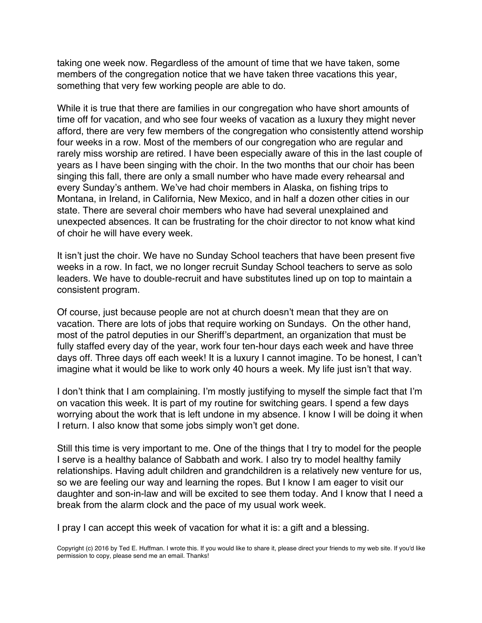taking one week now. Regardless of the amount of time that we have taken, some members of the congregation notice that we have taken three vacations this year, something that very few working people are able to do.

While it is true that there are families in our congregation who have short amounts of time off for vacation, and who see four weeks of vacation as a luxury they might never afford, there are very few members of the congregation who consistently attend worship four weeks in a row. Most of the members of our congregation who are regular and rarely miss worship are retired. I have been especially aware of this in the last couple of years as I have been singing with the choir. In the two months that our choir has been singing this fall, there are only a small number who have made every rehearsal and every Sunday's anthem. We've had choir members in Alaska, on fishing trips to Montana, in Ireland, in California, New Mexico, and in half a dozen other cities in our state. There are several choir members who have had several unexplained and unexpected absences. It can be frustrating for the choir director to not know what kind of choir he will have every week.

It isn't just the choir. We have no Sunday School teachers that have been present five weeks in a row. In fact, we no longer recruit Sunday School teachers to serve as solo leaders. We have to double-recruit and have substitutes lined up on top to maintain a consistent program.

Of course, just because people are not at church doesn't mean that they are on vacation. There are lots of jobs that require working on Sundays. On the other hand, most of the patrol deputies in our Sheriff's department, an organization that must be fully staffed every day of the year, work four ten-hour days each week and have three days off. Three days off each week! It is a luxury I cannot imagine. To be honest, I can't imagine what it would be like to work only 40 hours a week. My life just isn't that way.

I don't think that I am complaining. I'm mostly justifying to myself the simple fact that I'm on vacation this week. It is part of my routine for switching gears. I spend a few days worrying about the work that is left undone in my absence. I know I will be doing it when I return. I also know that some jobs simply won't get done.

Still this time is very important to me. One of the things that I try to model for the people I serve is a healthy balance of Sabbath and work. I also try to model healthy family relationships. Having adult children and grandchildren is a relatively new venture for us, so we are feeling our way and learning the ropes. But I know I am eager to visit our daughter and son-in-law and will be excited to see them today. And I know that I need a break from the alarm clock and the pace of my usual work week.

I pray I can accept this week of vacation for what it is: a gift and a blessing.

Copyright (c) 2016 by Ted E. Huffman. I wrote this. If you would like to share it, please direct your friends to my web site. If you'd like permission to copy, please send me an email. Thanks!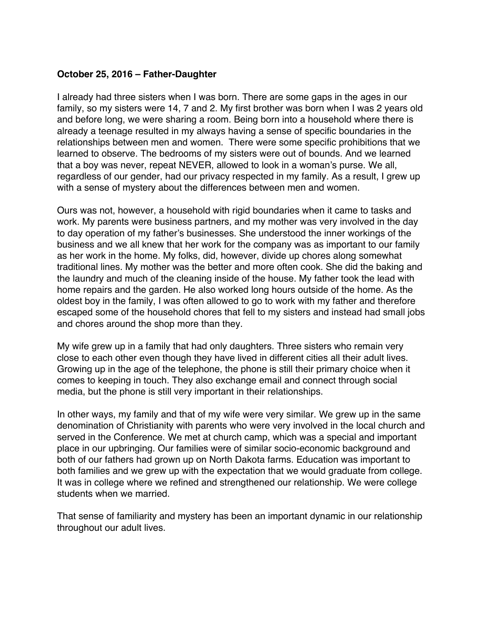# <span id="page-52-0"></span>**October 25, 2016 – Father-Daughter**

I already had three sisters when I was born. There are some gaps in the ages in our family, so my sisters were 14, 7 and 2. My first brother was born when I was 2 years old and before long, we were sharing a room. Being born into a household where there is already a teenage resulted in my always having a sense of specific boundaries in the relationships between men and women. There were some specific prohibitions that we learned to observe. The bedrooms of my sisters were out of bounds. And we learned that a boy was never, repeat NEVER, allowed to look in a woman's purse. We all, regardless of our gender, had our privacy respected in my family. As a result, I grew up with a sense of mystery about the differences between men and women.

Ours was not, however, a household with rigid boundaries when it came to tasks and work. My parents were business partners, and my mother was very involved in the day to day operation of my father's businesses. She understood the inner workings of the business and we all knew that her work for the company was as important to our family as her work in the home. My folks, did, however, divide up chores along somewhat traditional lines. My mother was the better and more often cook. She did the baking and the laundry and much of the cleaning inside of the house. My father took the lead with home repairs and the garden. He also worked long hours outside of the home. As the oldest boy in the family, I was often allowed to go to work with my father and therefore escaped some of the household chores that fell to my sisters and instead had small jobs and chores around the shop more than they.

My wife grew up in a family that had only daughters. Three sisters who remain very close to each other even though they have lived in different cities all their adult lives. Growing up in the age of the telephone, the phone is still their primary choice when it comes to keeping in touch. They also exchange email and connect through social media, but the phone is still very important in their relationships.

In other ways, my family and that of my wife were very similar. We grew up in the same denomination of Christianity with parents who were very involved in the local church and served in the Conference. We met at church camp, which was a special and important place in our upbringing. Our families were of similar socio-economic background and both of our fathers had grown up on North Dakota farms. Education was important to both families and we grew up with the expectation that we would graduate from college. It was in college where we refined and strengthened our relationship. We were college students when we married.

That sense of familiarity and mystery has been an important dynamic in our relationship throughout our adult lives.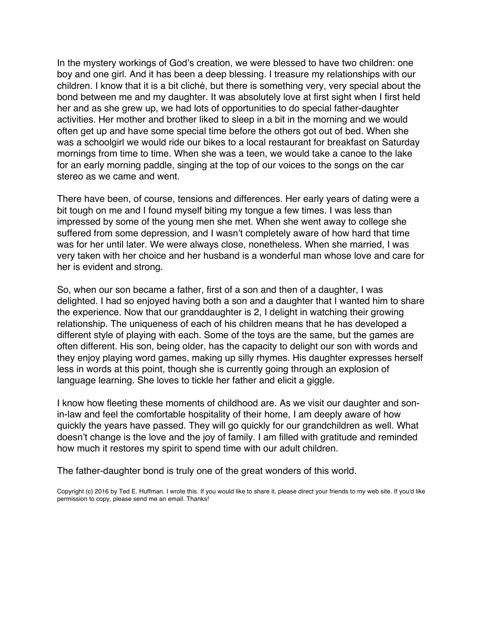In the mystery workings of God's creation, we were blessed to have two children: one boy and one girl. And it has been a deep blessing. I treasure my relationships with our children. I know that it is a bit cliché, but there is something very, very special about the bond between me and my daughter. It was absolutely love at first sight when I first held her and as she grew up, we had lots of opportunities to do special father-daughter activities. Her mother and brother liked to sleep in a bit in the morning and we would often get up and have some special time before the others got out of bed. When she was a schoolgirl we would ride our bikes to a local restaurant for breakfast on Saturday mornings from time to time. When she was a teen, we would take a canoe to the lake for an early morning paddle, singing at the top of our voices to the songs on the car stereo as we came and went.

There have been, of course, tensions and differences. Her early years of dating were a bit tough on me and I found myself biting my tongue a few times. I was less than impressed by some of the young men she met. When she went away to college she suffered from some depression, and I wasn't completely aware of how hard that time was for her until later. We were always close, nonetheless. When she married, I was very taken with her choice and her husband is a wonderful man whose love and care for her is evident and strong.

So, when our son became a father, first of a son and then of a daughter, I was delighted. I had so enjoyed having both a son and a daughter that I wanted him to share the experience. Now that our granddaughter is 2, I delight in watching their growing relationship. The uniqueness of each of his children means that he has developed a different style of playing with each. Some of the toys are the same, but the games are often different. His son, being older, has the capacity to delight our son with words and they enjoy playing word games, making up silly rhymes. His daughter expresses herself less in words at this point, though she is currently going through an explosion of language learning. She loves to tickle her father and elicit a giggle.

I know how fleeting these moments of childhood are. As we visit our daughter and sonin-law and feel the comfortable hospitality of their home, I am deeply aware of how quickly the years have passed. They will go quickly for our grandchildren as well. What doesn't change is the love and the joy of family. I am filled with gratitude and reminded how much it restores my spirit to spend time with our adult children.

The father-daughter bond is truly one of the great wonders of this world.

Copyright (c) 2016 by Ted E. Huffman. I wrote this. If you would like to share it, please direct your friends to my web site. If you'd like permission to copy, please send me an email. Thanks!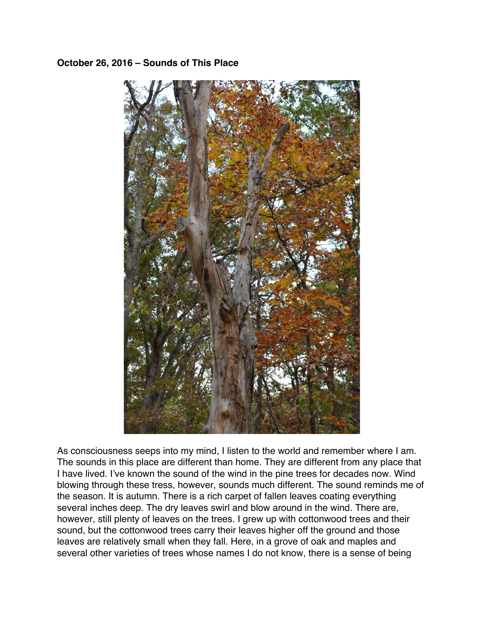## <span id="page-54-0"></span>**October 26, 2016 – Sounds of This Place**



As consciousness seeps into my mind, I listen to the world and remember where I am. The sounds in this place are different than home. They are different from any place that I have lived. I've known the sound of the wind in the pine trees for decades now. Wind blowing through these tress, however, sounds much different. The sound reminds me of the season. It is autumn. There is a rich carpet of fallen leaves coating everything several inches deep. The dry leaves swirl and blow around in the wind. There are, however, still plenty of leaves on the trees. I grew up with cottonwood trees and their sound, but the cottonwood trees carry their leaves higher off the ground and those leaves are relatively small when they fall. Here, in a grove of oak and maples and several other varieties of trees whose names I do not know, there is a sense of being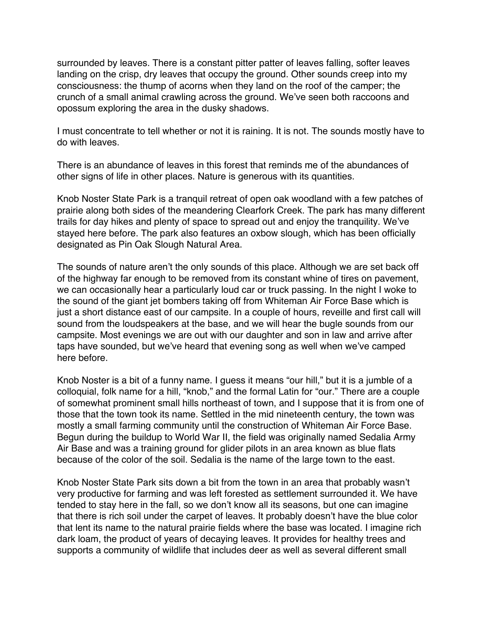surrounded by leaves. There is a constant pitter patter of leaves falling, softer leaves landing on the crisp, dry leaves that occupy the ground. Other sounds creep into my consciousness: the thump of acorns when they land on the roof of the camper; the crunch of a small animal crawling across the ground. We've seen both raccoons and opossum exploring the area in the dusky shadows.

I must concentrate to tell whether or not it is raining. It is not. The sounds mostly have to do with leaves.

There is an abundance of leaves in this forest that reminds me of the abundances of other signs of life in other places. Nature is generous with its quantities.

Knob Noster State Park is a tranquil retreat of open oak woodland with a few patches of prairie along both sides of the meandering Clearfork Creek. The park has many different trails for day hikes and plenty of space to spread out and enjoy the tranquility. We've stayed here before. The park also features an oxbow slough, which has been officially designated as Pin Oak Slough Natural Area.

The sounds of nature aren't the only sounds of this place. Although we are set back off of the highway far enough to be removed from its constant whine of tires on pavement, we can occasionally hear a particularly loud car or truck passing. In the night I woke to the sound of the giant jet bombers taking off from Whiteman Air Force Base which is just a short distance east of our campsite. In a couple of hours, reveille and first call will sound from the loudspeakers at the base, and we will hear the bugle sounds from our campsite. Most evenings we are out with our daughter and son in law and arrive after taps have sounded, but we've heard that evening song as well when we've camped here before.

Knob Noster is a bit of a funny name. I guess it means "our hill," but it is a jumble of a colloquial, folk name for a hill, "knob," and the formal Latin for "our." There are a couple of somewhat prominent small hills northeast of town, and I suppose that it is from one of those that the town took its name. Settled in the mid nineteenth century, the town was mostly a small farming community until the construction of Whiteman Air Force Base. Begun during the buildup to World War II, the field was originally named Sedalia Army Air Base and was a training ground for glider pilots in an area known as blue flats because of the color of the soil. Sedalia is the name of the large town to the east.

Knob Noster State Park sits down a bit from the town in an area that probably wasn't very productive for farming and was left forested as settlement surrounded it. We have tended to stay here in the fall, so we don't know all its seasons, but one can imagine that there is rich soil under the carpet of leaves. It probably doesn't have the blue color that lent its name to the natural prairie fields where the base was located. I imagine rich dark loam, the product of years of decaying leaves. It provides for healthy trees and supports a community of wildlife that includes deer as well as several different small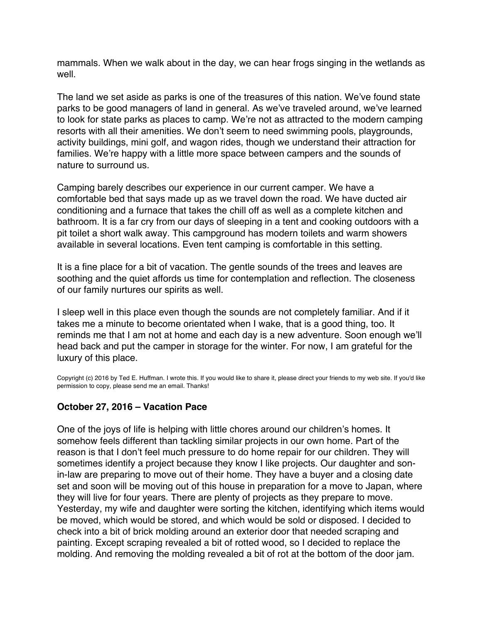<span id="page-56-0"></span>mammals. When we walk about in the day, we can hear frogs singing in the wetlands as well.

The land we set aside as parks is one of the treasures of this nation. We've found state parks to be good managers of land in general. As we've traveled around, we've learned to look for state parks as places to camp. We're not as attracted to the modern camping resorts with all their amenities. We don't seem to need swimming pools, playgrounds, activity buildings, mini golf, and wagon rides, though we understand their attraction for families. We're happy with a little more space between campers and the sounds of nature to surround us.

Camping barely describes our experience in our current camper. We have a comfortable bed that says made up as we travel down the road. We have ducted air conditioning and a furnace that takes the chill off as well as a complete kitchen and bathroom. It is a far cry from our days of sleeping in a tent and cooking outdoors with a pit toilet a short walk away. This campground has modern toilets and warm showers available in several locations. Even tent camping is comfortable in this setting.

It is a fine place for a bit of vacation. The gentle sounds of the trees and leaves are soothing and the quiet affords us time for contemplation and reflection. The closeness of our family nurtures our spirits as well.

I sleep well in this place even though the sounds are not completely familiar. And if it takes me a minute to become orientated when I wake, that is a good thing, too. It reminds me that I am not at home and each day is a new adventure. Soon enough we'll head back and put the camper in storage for the winter. For now, I am grateful for the luxury of this place.

Copyright (c) 2016 by Ted E. Huffman. I wrote this. If you would like to share it, please direct your friends to my web site. If you'd like permission to copy, please send me an email. Thanks!

## **October 27, 2016 – Vacation Pace**

One of the joys of life is helping with little chores around our children's homes. It somehow feels different than tackling similar projects in our own home. Part of the reason is that I don't feel much pressure to do home repair for our children. They will sometimes identify a project because they know I like projects. Our daughter and sonin-law are preparing to move out of their home. They have a buyer and a closing date set and soon will be moving out of this house in preparation for a move to Japan, where they will live for four years. There are plenty of projects as they prepare to move. Yesterday, my wife and daughter were sorting the kitchen, identifying which items would be moved, which would be stored, and which would be sold or disposed. I decided to check into a bit of brick molding around an exterior door that needed scraping and painting. Except scraping revealed a bit of rotted wood, so I decided to replace the molding. And removing the molding revealed a bit of rot at the bottom of the door jam.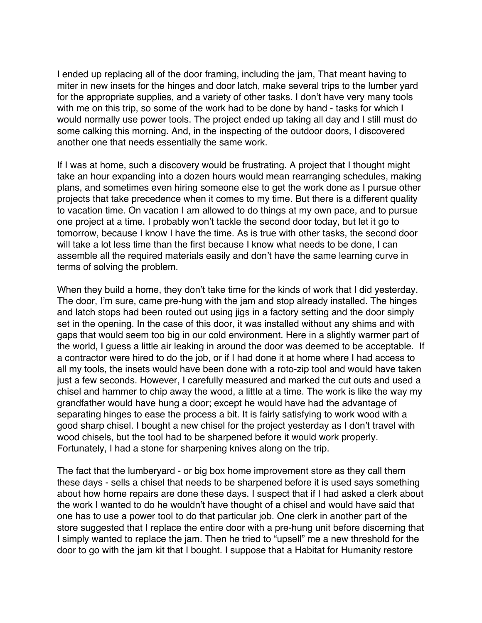I ended up replacing all of the door framing, including the jam, That meant having to miter in new insets for the hinges and door latch, make several trips to the lumber yard for the appropriate supplies, and a variety of other tasks. I don't have very many tools with me on this trip, so some of the work had to be done by hand - tasks for which I would normally use power tools. The project ended up taking all day and I still must do some calking this morning. And, in the inspecting of the outdoor doors, I discovered another one that needs essentially the same work.

If I was at home, such a discovery would be frustrating. A project that I thought might take an hour expanding into a dozen hours would mean rearranging schedules, making plans, and sometimes even hiring someone else to get the work done as I pursue other projects that take precedence when it comes to my time. But there is a different quality to vacation time. On vacation I am allowed to do things at my own pace, and to pursue one project at a time. I probably won't tackle the second door today, but let it go to tomorrow, because I know I have the time. As is true with other tasks, the second door will take a lot less time than the first because I know what needs to be done, I can assemble all the required materials easily and don't have the same learning curve in terms of solving the problem.

When they build a home, they don't take time for the kinds of work that I did yesterday. The door, I'm sure, came pre-hung with the jam and stop already installed. The hinges and latch stops had been routed out using jigs in a factory setting and the door simply set in the opening. In the case of this door, it was installed without any shims and with gaps that would seem too big in our cold environment. Here in a slightly warmer part of the world, I guess a little air leaking in around the door was deemed to be acceptable. If a contractor were hired to do the job, or if I had done it at home where I had access to all my tools, the insets would have been done with a roto-zip tool and would have taken just a few seconds. However, I carefully measured and marked the cut outs and used a chisel and hammer to chip away the wood, a little at a time. The work is like the way my grandfather would have hung a door; except he would have had the advantage of separating hinges to ease the process a bit. It is fairly satisfying to work wood with a good sharp chisel. I bought a new chisel for the project yesterday as I don't travel with wood chisels, but the tool had to be sharpened before it would work properly. Fortunately, I had a stone for sharpening knives along on the trip.

The fact that the lumberyard - or big box home improvement store as they call them these days - sells a chisel that needs to be sharpened before it is used says something about how home repairs are done these days. I suspect that if I had asked a clerk about the work I wanted to do he wouldn't have thought of a chisel and would have said that one has to use a power tool to do that particular job. One clerk in another part of the store suggested that I replace the entire door with a pre-hung unit before discerning that I simply wanted to replace the jam. Then he tried to "upsell" me a new threshold for the door to go with the jam kit that I bought. I suppose that a Habitat for Humanity restore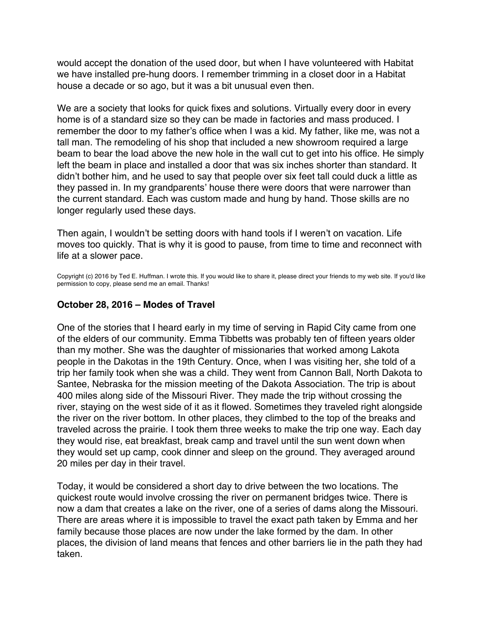<span id="page-58-0"></span>would accept the donation of the used door, but when I have volunteered with Habitat we have installed pre-hung doors. I remember trimming in a closet door in a Habitat house a decade or so ago, but it was a bit unusual even then.

We are a society that looks for quick fixes and solutions. Virtually every door in every home is of a standard size so they can be made in factories and mass produced. I remember the door to my father's office when I was a kid. My father, like me, was not a tall man. The remodeling of his shop that included a new showroom required a large beam to bear the load above the new hole in the wall cut to get into his office. He simply left the beam in place and installed a door that was six inches shorter than standard. It didn't bother him, and he used to say that people over six feet tall could duck a little as they passed in. In my grandparents' house there were doors that were narrower than the current standard. Each was custom made and hung by hand. Those skills are no longer regularly used these days.

Then again, I wouldn't be setting doors with hand tools if I weren't on vacation. Life moves too quickly. That is why it is good to pause, from time to time and reconnect with life at a slower pace.

Copyright (c) 2016 by Ted E. Huffman. I wrote this. If you would like to share it, please direct your friends to my web site. If you'd like permission to copy, please send me an email. Thanks!

#### **October 28, 2016 – Modes of Travel**

One of the stories that I heard early in my time of serving in Rapid City came from one of the elders of our community. Emma Tibbetts was probably ten of fifteen years older than my mother. She was the daughter of missionaries that worked among Lakota people in the Dakotas in the 19th Century. Once, when I was visiting her, she told of a trip her family took when she was a child. They went from Cannon Ball, North Dakota to Santee, Nebraska for the mission meeting of the Dakota Association. The trip is about 400 miles along side of the Missouri River. They made the trip without crossing the river, staying on the west side of it as it flowed. Sometimes they traveled right alongside the river on the river bottom. In other places, they climbed to the top of the breaks and traveled across the prairie. I took them three weeks to make the trip one way. Each day they would rise, eat breakfast, break camp and travel until the sun went down when they would set up camp, cook dinner and sleep on the ground. They averaged around 20 miles per day in their travel.

Today, it would be considered a short day to drive between the two locations. The quickest route would involve crossing the river on permanent bridges twice. There is now a dam that creates a lake on the river, one of a series of dams along the Missouri. There are areas where it is impossible to travel the exact path taken by Emma and her family because those places are now under the lake formed by the dam. In other places, the division of land means that fences and other barriers lie in the path they had taken.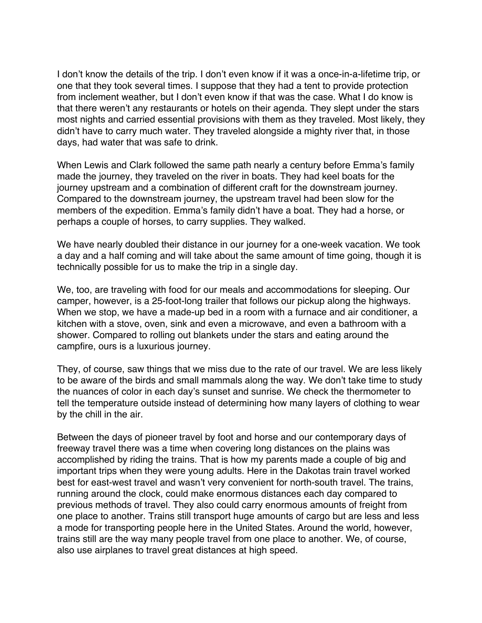I don't know the details of the trip. I don't even know if it was a once-in-a-lifetime trip, or one that they took several times. I suppose that they had a tent to provide protection from inclement weather, but I don't even know if that was the case. What I do know is that there weren't any restaurants or hotels on their agenda. They slept under the stars most nights and carried essential provisions with them as they traveled. Most likely, they didn't have to carry much water. They traveled alongside a mighty river that, in those days, had water that was safe to drink.

When Lewis and Clark followed the same path nearly a century before Emma's family made the journey, they traveled on the river in boats. They had keel boats for the journey upstream and a combination of different craft for the downstream journey. Compared to the downstream journey, the upstream travel had been slow for the members of the expedition. Emma's family didn't have a boat. They had a horse, or perhaps a couple of horses, to carry supplies. They walked.

We have nearly doubled their distance in our journey for a one-week vacation. We took a day and a half coming and will take about the same amount of time going, though it is technically possible for us to make the trip in a single day.

We, too, are traveling with food for our meals and accommodations for sleeping. Our camper, however, is a 25-foot-long trailer that follows our pickup along the highways. When we stop, we have a made-up bed in a room with a furnace and air conditioner, a kitchen with a stove, oven, sink and even a microwave, and even a bathroom with a shower. Compared to rolling out blankets under the stars and eating around the campfire, ours is a luxurious journey.

They, of course, saw things that we miss due to the rate of our travel. We are less likely to be aware of the birds and small mammals along the way. We don't take time to study the nuances of color in each day's sunset and sunrise. We check the thermometer to tell the temperature outside instead of determining how many layers of clothing to wear by the chill in the air.

Between the days of pioneer travel by foot and horse and our contemporary days of freeway travel there was a time when covering long distances on the plains was accomplished by riding the trains. That is how my parents made a couple of big and important trips when they were young adults. Here in the Dakotas train travel worked best for east-west travel and wasn't very convenient for north-south travel. The trains, running around the clock, could make enormous distances each day compared to previous methods of travel. They also could carry enormous amounts of freight from one place to another. Trains still transport huge amounts of cargo but are less and less a mode for transporting people here in the United States. Around the world, however, trains still are the way many people travel from one place to another. We, of course, also use airplanes to travel great distances at high speed.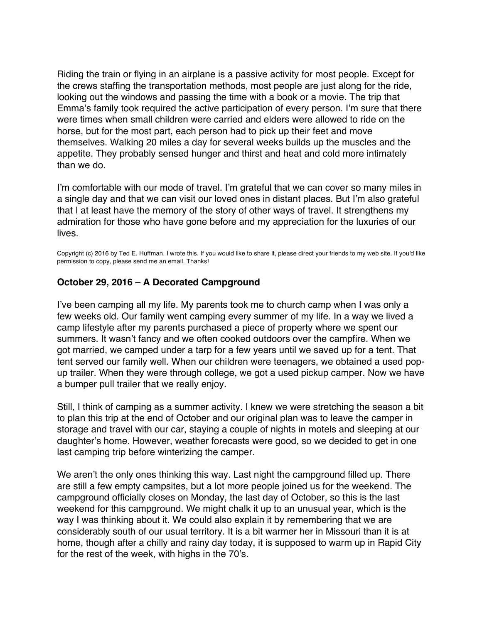<span id="page-60-0"></span>Riding the train or flying in an airplane is a passive activity for most people. Except for the crews staffing the transportation methods, most people are just along for the ride, looking out the windows and passing the time with a book or a movie. The trip that Emma's family took required the active participation of every person. I'm sure that there were times when small children were carried and elders were allowed to ride on the horse, but for the most part, each person had to pick up their feet and move themselves. Walking 20 miles a day for several weeks builds up the muscles and the appetite. They probably sensed hunger and thirst and heat and cold more intimately than we do.

I'm comfortable with our mode of travel. I'm grateful that we can cover so many miles in a single day and that we can visit our loved ones in distant places. But I'm also grateful that I at least have the memory of the story of other ways of travel. It strengthens my admiration for those who have gone before and my appreciation for the luxuries of our lives.

Copyright (c) 2016 by Ted E. Huffman. I wrote this. If you would like to share it, please direct your friends to my web site. If you'd like permission to copy, please send me an email. Thanks!

## **October 29, 2016 – A Decorated Campground**

I've been camping all my life. My parents took me to church camp when I was only a few weeks old. Our family went camping every summer of my life. In a way we lived a camp lifestyle after my parents purchased a piece of property where we spent our summers. It wasn't fancy and we often cooked outdoors over the campfire. When we got married, we camped under a tarp for a few years until we saved up for a tent. That tent served our family well. When our children were teenagers, we obtained a used popup trailer. When they were through college, we got a used pickup camper. Now we have a bumper pull trailer that we really enjoy.

Still, I think of camping as a summer activity. I knew we were stretching the season a bit to plan this trip at the end of October and our original plan was to leave the camper in storage and travel with our car, staying a couple of nights in motels and sleeping at our daughter's home. However, weather forecasts were good, so we decided to get in one last camping trip before winterizing the camper.

We aren't the only ones thinking this way. Last night the campground filled up. There are still a few empty campsites, but a lot more people joined us for the weekend. The campground officially closes on Monday, the last day of October, so this is the last weekend for this campground. We might chalk it up to an unusual year, which is the way I was thinking about it. We could also explain it by remembering that we are considerably south of our usual territory. It is a bit warmer her in Missouri than it is at home, though after a chilly and rainy day today, it is supposed to warm up in Rapid City for the rest of the week, with highs in the 70's.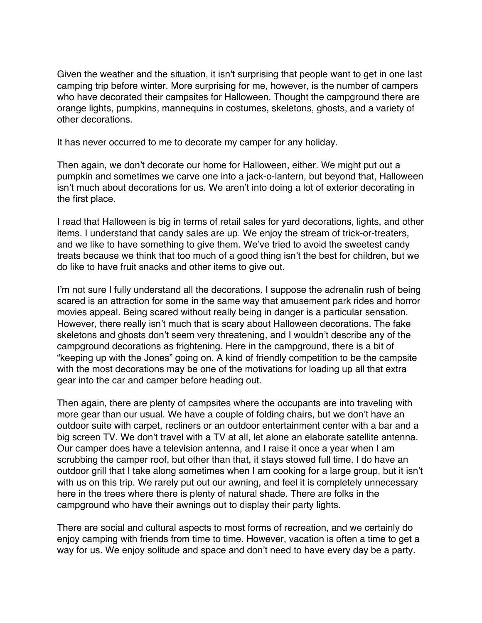Given the weather and the situation, it isn't surprising that people want to get in one last camping trip before winter. More surprising for me, however, is the number of campers who have decorated their campsites for Halloween. Thought the campground there are orange lights, pumpkins, mannequins in costumes, skeletons, ghosts, and a variety of other decorations.

It has never occurred to me to decorate my camper for any holiday.

Then again, we don't decorate our home for Halloween, either. We might put out a pumpkin and sometimes we carve one into a jack-o-lantern, but beyond that, Halloween isn't much about decorations for us. We aren't into doing a lot of exterior decorating in the first place.

I read that Halloween is big in terms of retail sales for yard decorations, lights, and other items. I understand that candy sales are up. We enjoy the stream of trick-or-treaters, and we like to have something to give them. We've tried to avoid the sweetest candy treats because we think that too much of a good thing isn't the best for children, but we do like to have fruit snacks and other items to give out.

I'm not sure I fully understand all the decorations. I suppose the adrenalin rush of being scared is an attraction for some in the same way that amusement park rides and horror movies appeal. Being scared without really being in danger is a particular sensation. However, there really isn't much that is scary about Halloween decorations. The fake skeletons and ghosts don't seem very threatening, and I wouldn't describe any of the campground decorations as frightening. Here in the campground, there is a bit of "keeping up with the Jones" going on. A kind of friendly competition to be the campsite with the most decorations may be one of the motivations for loading up all that extra gear into the car and camper before heading out.

Then again, there are plenty of campsites where the occupants are into traveling with more gear than our usual. We have a couple of folding chairs, but we don't have an outdoor suite with carpet, recliners or an outdoor entertainment center with a bar and a big screen TV. We don't travel with a TV at all, let alone an elaborate satellite antenna. Our camper does have a television antenna, and I raise it once a year when I am scrubbing the camper roof, but other than that, it stays stowed full time. I do have an outdoor grill that I take along sometimes when I am cooking for a large group, but it isn't with us on this trip. We rarely put out our awning, and feel it is completely unnecessary here in the trees where there is plenty of natural shade. There are folks in the campground who have their awnings out to display their party lights.

There are social and cultural aspects to most forms of recreation, and we certainly do enjoy camping with friends from time to time. However, vacation is often a time to get a way for us. We enjoy solitude and space and don't need to have every day be a party.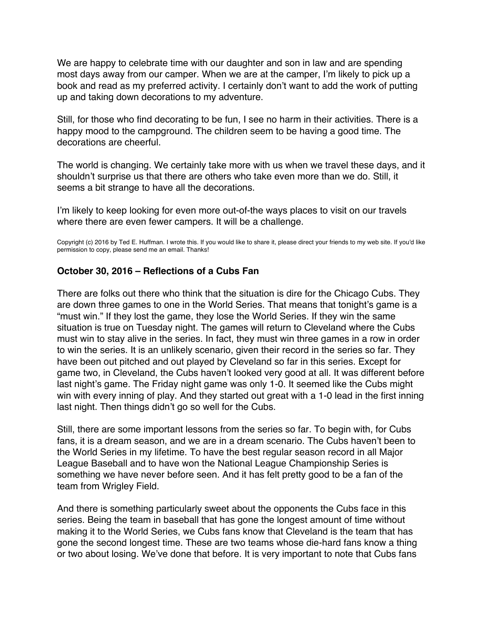<span id="page-62-0"></span>We are happy to celebrate time with our daughter and son in law and are spending most days away from our camper. When we are at the camper, I'm likely to pick up a book and read as my preferred activity. I certainly don't want to add the work of putting up and taking down decorations to my adventure.

Still, for those who find decorating to be fun, I see no harm in their activities. There is a happy mood to the campground. The children seem to be having a good time. The decorations are cheerful.

The world is changing. We certainly take more with us when we travel these days, and it shouldn't surprise us that there are others who take even more than we do. Still, it seems a bit strange to have all the decorations.

I'm likely to keep looking for even more out-of-the ways places to visit on our travels where there are even fewer campers. It will be a challenge.

Copyright (c) 2016 by Ted E. Huffman. I wrote this. If you would like to share it, please direct your friends to my web site. If you'd like permission to copy, please send me an email. Thanks!

## **October 30, 2016 – Reflections of a Cubs Fan**

There are folks out there who think that the situation is dire for the Chicago Cubs. They are down three games to one in the World Series. That means that tonight's game is a "must win." If they lost the game, they lose the World Series. If they win the same situation is true on Tuesday night. The games will return to Cleveland where the Cubs must win to stay alive in the series. In fact, they must win three games in a row in order to win the series. It is an unlikely scenario, given their record in the series so far. They have been out pitched and out played by Cleveland so far in this series. Except for game two, in Cleveland, the Cubs haven't looked very good at all. It was different before last night's game. The Friday night game was only 1-0. It seemed like the Cubs might win with every inning of play. And they started out great with a 1-0 lead in the first inning last night. Then things didn't go so well for the Cubs.

Still, there are some important lessons from the series so far. To begin with, for Cubs fans, it is a dream season, and we are in a dream scenario. The Cubs haven't been to the World Series in my lifetime. To have the best regular season record in all Major League Baseball and to have won the National League Championship Series is something we have never before seen. And it has felt pretty good to be a fan of the team from Wrigley Field.

And there is something particularly sweet about the opponents the Cubs face in this series. Being the team in baseball that has gone the longest amount of time without making it to the World Series, we Cubs fans know that Cleveland is the team that has gone the second longest time. These are two teams whose die-hard fans know a thing or two about losing. We've done that before. It is very important to note that Cubs fans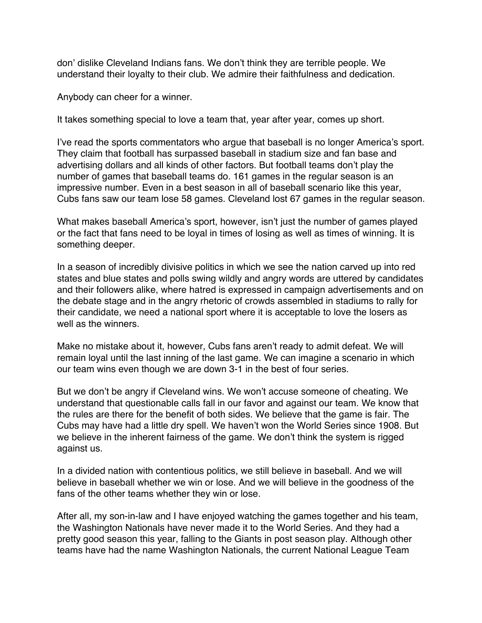don' dislike Cleveland Indians fans. We don't think they are terrible people. We understand their loyalty to their club. We admire their faithfulness and dedication.

Anybody can cheer for a winner.

It takes something special to love a team that, year after year, comes up short.

I've read the sports commentators who argue that baseball is no longer America's sport. They claim that football has surpassed baseball in stadium size and fan base and advertising dollars and all kinds of other factors. But football teams don't play the number of games that baseball teams do. 161 games in the regular season is an impressive number. Even in a best season in all of baseball scenario like this year, Cubs fans saw our team lose 58 games. Cleveland lost 67 games in the regular season.

What makes baseball America's sport, however, isn't just the number of games played or the fact that fans need to be loyal in times of losing as well as times of winning. It is something deeper.

In a season of incredibly divisive politics in which we see the nation carved up into red states and blue states and polls swing wildly and angry words are uttered by candidates and their followers alike, where hatred is expressed in campaign advertisements and on the debate stage and in the angry rhetoric of crowds assembled in stadiums to rally for their candidate, we need a national sport where it is acceptable to love the losers as well as the winners.

Make no mistake about it, however, Cubs fans aren't ready to admit defeat. We will remain loyal until the last inning of the last game. We can imagine a scenario in which our team wins even though we are down 3-1 in the best of four series.

But we don't be angry if Cleveland wins. We won't accuse someone of cheating. We understand that questionable calls fall in our favor and against our team. We know that the rules are there for the benefit of both sides. We believe that the game is fair. The Cubs may have had a little dry spell. We haven't won the World Series since 1908. But we believe in the inherent fairness of the game. We don't think the system is rigged against us.

In a divided nation with contentious politics, we still believe in baseball. And we will believe in baseball whether we win or lose. And we will believe in the goodness of the fans of the other teams whether they win or lose.

After all, my son-in-law and I have enjoyed watching the games together and his team, the Washington Nationals have never made it to the World Series. And they had a pretty good season this year, falling to the Giants in post season play. Although other teams have had the name Washington Nationals, the current National League Team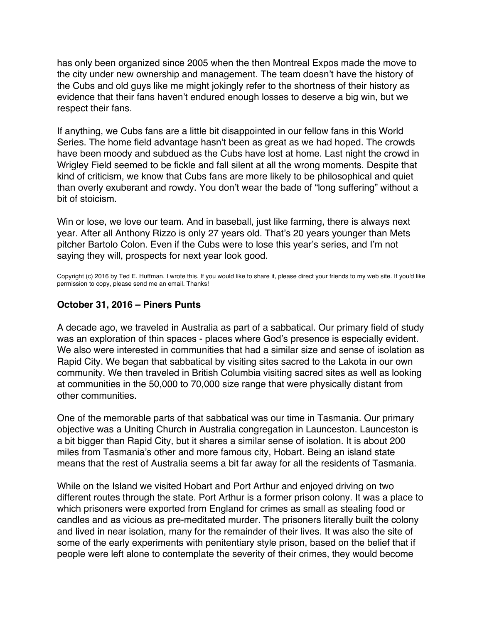<span id="page-64-0"></span>has only been organized since 2005 when the then Montreal Expos made the move to the city under new ownership and management. The team doesn't have the history of the Cubs and old guys like me might jokingly refer to the shortness of their history as evidence that their fans haven't endured enough losses to deserve a big win, but we respect their fans.

If anything, we Cubs fans are a little bit disappointed in our fellow fans in this World Series. The home field advantage hasn't been as great as we had hoped. The crowds have been moody and subdued as the Cubs have lost at home. Last night the crowd in Wrigley Field seemed to be fickle and fall silent at all the wrong moments. Despite that kind of criticism, we know that Cubs fans are more likely to be philosophical and quiet than overly exuberant and rowdy. You don't wear the bade of "long suffering" without a bit of stoicism.

Win or lose, we love our team. And in baseball, just like farming, there is always next year. After all Anthony Rizzo is only 27 years old. That's 20 years younger than Mets pitcher Bartolo Colon. Even if the Cubs were to lose this year's series, and I'm not saying they will, prospects for next year look good.

Copyright (c) 2016 by Ted E. Huffman. I wrote this. If you would like to share it, please direct your friends to my web site. If you'd like permission to copy, please send me an email. Thanks!

# **October 31, 2016 – Piners Punts**

A decade ago, we traveled in Australia as part of a sabbatical. Our primary field of study was an exploration of thin spaces - places where God's presence is especially evident. We also were interested in communities that had a similar size and sense of isolation as Rapid City. We began that sabbatical by visiting sites sacred to the Lakota in our own community. We then traveled in British Columbia visiting sacred sites as well as looking at communities in the 50,000 to 70,000 size range that were physically distant from other communities.

One of the memorable parts of that sabbatical was our time in Tasmania. Our primary objective was a Uniting Church in Australia congregation in Launceston. Launceston is a bit bigger than Rapid City, but it shares a similar sense of isolation. It is about 200 miles from Tasmania's other and more famous city, Hobart. Being an island state means that the rest of Australia seems a bit far away for all the residents of Tasmania.

While on the Island we visited Hobart and Port Arthur and enjoyed driving on two different routes through the state. Port Arthur is a former prison colony. It was a place to which prisoners were exported from England for crimes as small as stealing food or candles and as vicious as pre-meditated murder. The prisoners literally built the colony and lived in near isolation, many for the remainder of their lives. It was also the site of some of the early experiments with penitentiary style prison, based on the belief that if people were left alone to contemplate the severity of their crimes, they would become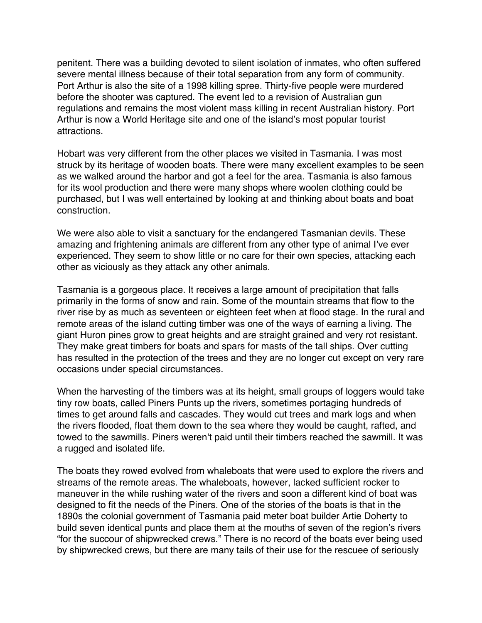penitent. There was a building devoted to silent isolation of inmates, who often suffered severe mental illness because of their total separation from any form of community. Port Arthur is also the site of a 1998 killing spree. Thirty-five people were murdered before the shooter was captured. The event led to a revision of Australian gun regulations and remains the most violent mass killing in recent Australian history. Port Arthur is now a World Heritage site and one of the island's most popular tourist attractions.

Hobart was very different from the other places we visited in Tasmania. I was most struck by its heritage of wooden boats. There were many excellent examples to be seen as we walked around the harbor and got a feel for the area. Tasmania is also famous for its wool production and there were many shops where woolen clothing could be purchased, but I was well entertained by looking at and thinking about boats and boat construction.

We were also able to visit a sanctuary for the endangered Tasmanian devils. These amazing and frightening animals are different from any other type of animal I've ever experienced. They seem to show little or no care for their own species, attacking each other as viciously as they attack any other animals.

Tasmania is a gorgeous place. It receives a large amount of precipitation that falls primarily in the forms of snow and rain. Some of the mountain streams that flow to the river rise by as much as seventeen or eighteen feet when at flood stage. In the rural and remote areas of the island cutting timber was one of the ways of earning a living. The giant Huron pines grow to great heights and are straight grained and very rot resistant. They make great timbers for boats and spars for masts of the tall ships. Over cutting has resulted in the protection of the trees and they are no longer cut except on very rare occasions under special circumstances.

When the harvesting of the timbers was at its height, small groups of loggers would take tiny row boats, called Piners Punts up the rivers, sometimes portaging hundreds of times to get around falls and cascades. They would cut trees and mark logs and when the rivers flooded, float them down to the sea where they would be caught, rafted, and towed to the sawmills. Piners weren't paid until their timbers reached the sawmill. It was a rugged and isolated life.

The boats they rowed evolved from whaleboats that were used to explore the rivers and streams of the remote areas. The whaleboats, however, lacked sufficient rocker to maneuver in the while rushing water of the rivers and soon a different kind of boat was designed to fit the needs of the Piners. One of the stories of the boats is that in the 1890s the colonial government of Tasmania paid meter boat builder Artie Doherty to build seven identical punts and place them at the mouths of seven of the region's rivers "for the succour of shipwrecked crews." There is no record of the boats ever being used by shipwrecked crews, but there are many tails of their use for the rescuee of seriously